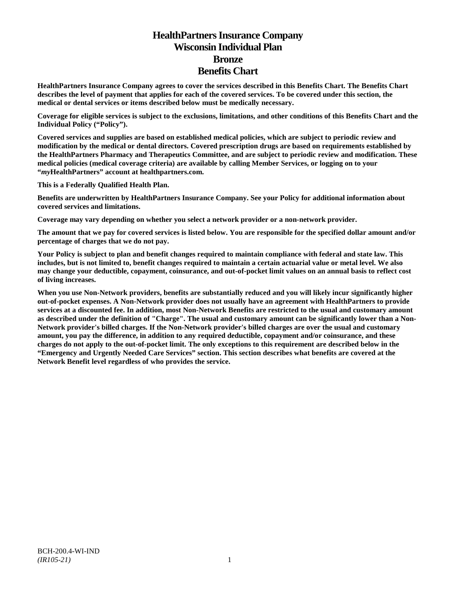# **HealthPartners Insurance Company Wisconsin Individual Plan Bronze Benefits Chart**

**HealthPartners Insurance Company agrees to cover the services described in this Benefits Chart. The Benefits Chart describes the level of payment that applies for each of the covered services. To be covered under this section, the medical or dental services or items described below must be medically necessary.**

**Coverage for eligible services is subject to the exclusions, limitations, and other conditions of this Benefits Chart and the Individual Policy ("Policy").**

**Covered services and supplies are based on established medical policies, which are subject to periodic review and modification by the medical or dental directors. Covered prescription drugs are based on requirements established by the HealthPartners Pharmacy and Therapeutics Committee, and are subject to periodic review and modification. These medical policies (medical coverage criteria) are available by calling Member Services, or logging on to your "***my***HealthPartners" account at [healthpartners.com.](http://www.healthpartners.com/)**

**This is a Federally Qualified Health Plan.**

**Benefits are underwritten by HealthPartners Insurance Company. See your Policy for additional information about covered services and limitations.**

**Coverage may vary depending on whether you select a network provider or a non-network provider.**

**The amount that we pay for covered services is listed below. You are responsible for the specified dollar amount and/or percentage of charges that we do not pay.**

**Your Policy is subject to plan and benefit changes required to maintain compliance with federal and state law. This includes, but is not limited to, benefit changes required to maintain a certain actuarial value or metal level. We also may change your deductible, copayment, coinsurance, and out-of-pocket limit values on an annual basis to reflect cost of living increases.**

**When you use Non-Network providers, benefits are substantially reduced and you will likely incur significantly higher out-of-pocket expenses. A Non-Network provider does not usually have an agreement with HealthPartners to provide services at a discounted fee. In addition, most Non-Network Benefits are restricted to the usual and customary amount as described under the definition of "Charge". The usual and customary amount can be significantly lower than a Non-Network provider's billed charges. If the Non-Network provider's billed charges are over the usual and customary amount, you pay the difference, in addition to any required deductible, copayment and/or coinsurance, and these charges do not apply to the out-of-pocket limit. The only exceptions to this requirement are described below in the "Emergency and Urgently Needed Care Services" section. This section describes what benefits are covered at the Network Benefit level regardless of who provides the service.**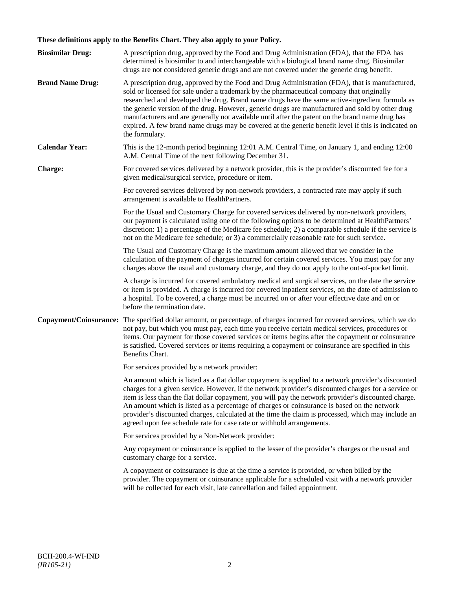## **These definitions apply to the Benefits Chart. They also apply to your Policy.**

| <b>Biosimilar Drug:</b> | A prescription drug, approved by the Food and Drug Administration (FDA), that the FDA has<br>determined is biosimilar to and interchangeable with a biological brand name drug. Biosimilar<br>drugs are not considered generic drugs and are not covered under the generic drug benefit.                                                                                                                                                                                                                                                                                                                                     |
|-------------------------|------------------------------------------------------------------------------------------------------------------------------------------------------------------------------------------------------------------------------------------------------------------------------------------------------------------------------------------------------------------------------------------------------------------------------------------------------------------------------------------------------------------------------------------------------------------------------------------------------------------------------|
| <b>Brand Name Drug:</b> | A prescription drug, approved by the Food and Drug Administration (FDA), that is manufactured,<br>sold or licensed for sale under a trademark by the pharmaceutical company that originally<br>researched and developed the drug. Brand name drugs have the same active-ingredient formula as<br>the generic version of the drug. However, generic drugs are manufactured and sold by other drug<br>manufacturers and are generally not available until after the patent on the brand name drug has<br>expired. A few brand name drugs may be covered at the generic benefit level if this is indicated on<br>the formulary. |
| <b>Calendar Year:</b>   | This is the 12-month period beginning 12:01 A.M. Central Time, on January 1, and ending 12:00<br>A.M. Central Time of the next following December 31.                                                                                                                                                                                                                                                                                                                                                                                                                                                                        |
| Charge:                 | For covered services delivered by a network provider, this is the provider's discounted fee for a<br>given medical/surgical service, procedure or item.                                                                                                                                                                                                                                                                                                                                                                                                                                                                      |
|                         | For covered services delivered by non-network providers, a contracted rate may apply if such<br>arrangement is available to HealthPartners.                                                                                                                                                                                                                                                                                                                                                                                                                                                                                  |
|                         | For the Usual and Customary Charge for covered services delivered by non-network providers,<br>our payment is calculated using one of the following options to be determined at HealthPartners'<br>discretion: 1) a percentage of the Medicare fee schedule; 2) a comparable schedule if the service is<br>not on the Medicare fee schedule; or 3) a commercially reasonable rate for such service.                                                                                                                                                                                                                          |
|                         | The Usual and Customary Charge is the maximum amount allowed that we consider in the<br>calculation of the payment of charges incurred for certain covered services. You must pay for any<br>charges above the usual and customary charge, and they do not apply to the out-of-pocket limit.                                                                                                                                                                                                                                                                                                                                 |
|                         | A charge is incurred for covered ambulatory medical and surgical services, on the date the service<br>or item is provided. A charge is incurred for covered inpatient services, on the date of admission to<br>a hospital. To be covered, a charge must be incurred on or after your effective date and on or<br>before the termination date.                                                                                                                                                                                                                                                                                |
| Copayment/Coinsurance:  | The specified dollar amount, or percentage, of charges incurred for covered services, which we do<br>not pay, but which you must pay, each time you receive certain medical services, procedures or<br>items. Our payment for those covered services or items begins after the copayment or coinsurance<br>is satisfied. Covered services or items requiring a copayment or coinsurance are specified in this<br>Benefits Chart.                                                                                                                                                                                             |
|                         | For services provided by a network provider:                                                                                                                                                                                                                                                                                                                                                                                                                                                                                                                                                                                 |
|                         | An amount which is listed as a flat dollar copayment is applied to a network provider's discounted<br>charges for a given service. However, if the network provider's discounted charges for a service or<br>item is less than the flat dollar copayment, you will pay the network provider's discounted charge.<br>An amount which is listed as a percentage of charges or coinsurance is based on the network<br>provider's discounted charges, calculated at the time the claim is processed, which may include an<br>agreed upon fee schedule rate for case rate or withhold arrangements.                               |
|                         | For services provided by a Non-Network provider:                                                                                                                                                                                                                                                                                                                                                                                                                                                                                                                                                                             |
|                         | Any copayment or coinsurance is applied to the lesser of the provider's charges or the usual and<br>customary charge for a service.                                                                                                                                                                                                                                                                                                                                                                                                                                                                                          |
|                         | A copayment or coinsurance is due at the time a service is provided, or when billed by the<br>provider. The copayment or coinsurance applicable for a scheduled visit with a network provider<br>will be collected for each visit, late cancellation and failed appointment.                                                                                                                                                                                                                                                                                                                                                 |
|                         |                                                                                                                                                                                                                                                                                                                                                                                                                                                                                                                                                                                                                              |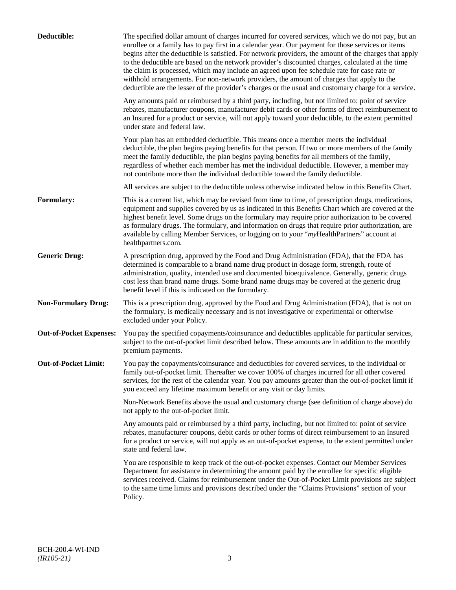| Deductible:                    | The specified dollar amount of charges incurred for covered services, which we do not pay, but an<br>enrollee or a family has to pay first in a calendar year. Our payment for those services or items<br>begins after the deductible is satisfied. For network providers, the amount of the charges that apply<br>to the deductible are based on the network provider's discounted charges, calculated at the time<br>the claim is processed, which may include an agreed upon fee schedule rate for case rate or<br>withhold arrangements. For non-network providers, the amount of charges that apply to the<br>deductible are the lesser of the provider's charges or the usual and customary charge for a service. |
|--------------------------------|-------------------------------------------------------------------------------------------------------------------------------------------------------------------------------------------------------------------------------------------------------------------------------------------------------------------------------------------------------------------------------------------------------------------------------------------------------------------------------------------------------------------------------------------------------------------------------------------------------------------------------------------------------------------------------------------------------------------------|
|                                | Any amounts paid or reimbursed by a third party, including, but not limited to: point of service<br>rebates, manufacturer coupons, manufacturer debit cards or other forms of direct reimbursement to<br>an Insured for a product or service, will not apply toward your deductible, to the extent permitted<br>under state and federal law.                                                                                                                                                                                                                                                                                                                                                                            |
|                                | Your plan has an embedded deductible. This means once a member meets the individual<br>deductible, the plan begins paying benefits for that person. If two or more members of the family<br>meet the family deductible, the plan begins paying benefits for all members of the family,<br>regardless of whether each member has met the individual deductible. However, a member may<br>not contribute more than the individual deductible toward the family deductible.                                                                                                                                                                                                                                                |
|                                | All services are subject to the deductible unless otherwise indicated below in this Benefits Chart.                                                                                                                                                                                                                                                                                                                                                                                                                                                                                                                                                                                                                     |
| Formulary:                     | This is a current list, which may be revised from time to time, of prescription drugs, medications,<br>equipment and supplies covered by us as indicated in this Benefits Chart which are covered at the<br>highest benefit level. Some drugs on the formulary may require prior authorization to be covered<br>as formulary drugs. The formulary, and information on drugs that require prior authorization, are<br>available by calling Member Services, or logging on to your "myHealthPartners" account at<br>healthpartners.com.                                                                                                                                                                                   |
| <b>Generic Drug:</b>           | A prescription drug, approved by the Food and Drug Administration (FDA), that the FDA has<br>determined is comparable to a brand name drug product in dosage form, strength, route of<br>administration, quality, intended use and documented bioequivalence. Generally, generic drugs<br>cost less than brand name drugs. Some brand name drugs may be covered at the generic drug<br>benefit level if this is indicated on the formulary.                                                                                                                                                                                                                                                                             |
| <b>Non-Formulary Drug:</b>     | This is a prescription drug, approved by the Food and Drug Administration (FDA), that is not on<br>the formulary, is medically necessary and is not investigative or experimental or otherwise<br>excluded under your Policy.                                                                                                                                                                                                                                                                                                                                                                                                                                                                                           |
| <b>Out-of-Pocket Expenses:</b> | You pay the specified copayments/coinsurance and deductibles applicable for particular services,<br>subject to the out-of-pocket limit described below. These amounts are in addition to the monthly<br>premium payments.                                                                                                                                                                                                                                                                                                                                                                                                                                                                                               |
| <b>Out-of-Pocket Limit:</b>    | You pay the copayments/coinsurance and deductibles for covered services, to the individual or<br>family out-of-pocket limit. Thereafter we cover 100% of charges incurred for all other covered<br>services, for the rest of the calendar year. You pay amounts greater than the out-of-pocket limit if<br>you exceed any lifetime maximum benefit or any visit or day limits.                                                                                                                                                                                                                                                                                                                                          |
|                                | Non-Network Benefits above the usual and customary charge (see definition of charge above) do<br>not apply to the out-of-pocket limit.                                                                                                                                                                                                                                                                                                                                                                                                                                                                                                                                                                                  |
|                                | Any amounts paid or reimbursed by a third party, including, but not limited to: point of service<br>rebates, manufacturer coupons, debit cards or other forms of direct reimbursement to an Insured<br>for a product or service, will not apply as an out-of-pocket expense, to the extent permitted under<br>state and federal law.                                                                                                                                                                                                                                                                                                                                                                                    |
|                                | You are responsible to keep track of the out-of-pocket expenses. Contact our Member Services<br>Department for assistance in determining the amount paid by the enrollee for specific eligible<br>services received. Claims for reimbursement under the Out-of-Pocket Limit provisions are subject<br>to the same time limits and provisions described under the "Claims Provisions" section of your<br>Policy.                                                                                                                                                                                                                                                                                                         |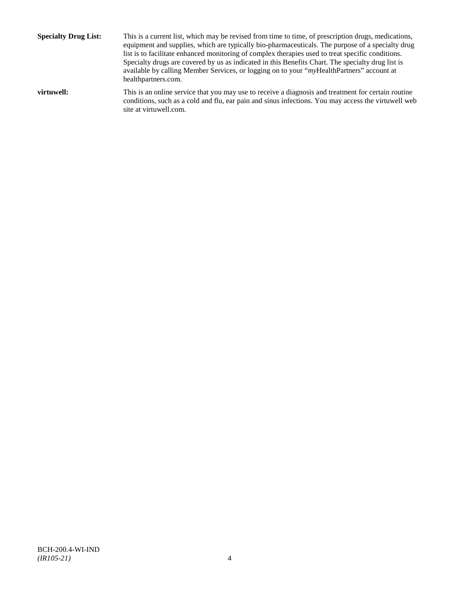**Specialty Drug List:** This is a current list, which may be revised from time to time, of prescription drugs, medications, equipment and supplies, which are typically bio-pharmaceuticals. The purpose of a specialty drug list is to facilitate enhanced monitoring of complex therapies used to treat specific conditions. Specialty drugs are covered by us as indicated in this Benefits Chart. The specialty drug list is available by calling Member Services, or logging on to your "*my*HealthPartners" account at [healthpartners.com.](http://www.healthpartners.com/) **virtuwell:** This is an online service that you may use to receive a diagnosis and treatment for certain routine conditions, such as a cold and flu, ear pain and sinus infections. You may access the virtuwell web

site a[t virtuwell.com.](http://www.virtuwell.com/)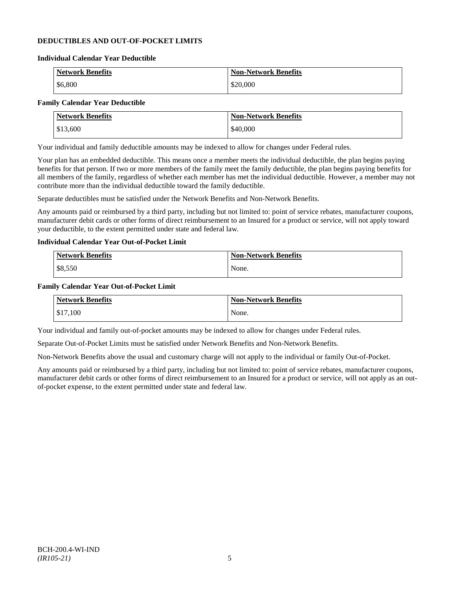## **DEDUCTIBLES AND OUT-OF-POCKET LIMITS**

#### **Individual Calendar Year Deductible**

| <b>Network Benefits</b> | <b>Non-Network Benefits</b> |
|-------------------------|-----------------------------|
| \$6,800                 | \$20,000                    |

## **Family Calendar Year Deductible**

| <b>Network Benefits</b> | <b>Non-Network Benefits</b> |
|-------------------------|-----------------------------|
| \$13,600                | \$40,000                    |

Your individual and family deductible amounts may be indexed to allow for changes under Federal rules.

Your plan has an embedded deductible. This means once a member meets the individual deductible, the plan begins paying benefits for that person. If two or more members of the family meet the family deductible, the plan begins paying benefits for all members of the family, regardless of whether each member has met the individual deductible. However, a member may not contribute more than the individual deductible toward the family deductible.

Separate deductibles must be satisfied under the Network Benefits and Non-Network Benefits.

Any amounts paid or reimbursed by a third party, including but not limited to: point of service rebates, manufacturer coupons, manufacturer debit cards or other forms of direct reimbursement to an Insured for a product or service, will not apply toward your deductible, to the extent permitted under state and federal law.

## **Individual Calendar Year Out-of-Pocket Limit**

| Network Benefits | <b>Non-Network Benefits</b> |
|------------------|-----------------------------|
| \$8,550          | None.                       |

#### **Family Calendar Year Out-of-Pocket Limit**

| <b>Network Benefits</b> | <b>Non-Network Benefits</b> |
|-------------------------|-----------------------------|
| \$17,100                | None.                       |

Your individual and family out-of-pocket amounts may be indexed to allow for changes under Federal rules.

Separate Out-of-Pocket Limits must be satisfied under Network Benefits and Non-Network Benefits.

Non-Network Benefits above the usual and customary charge will not apply to the individual or family Out-of-Pocket.

Any amounts paid or reimbursed by a third party, including but not limited to: point of service rebates, manufacturer coupons, manufacturer debit cards or other forms of direct reimbursement to an Insured for a product or service, will not apply as an outof-pocket expense, to the extent permitted under state and federal law.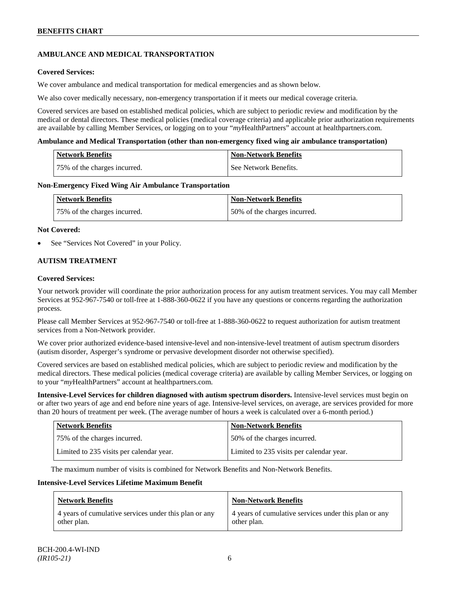## **AMBULANCE AND MEDICAL TRANSPORTATION**

## **Covered Services:**

We cover ambulance and medical transportation for medical emergencies and as shown below.

We also cover medically necessary, non-emergency transportation if it meets our medical coverage criteria.

Covered services are based on established medical policies, which are subject to periodic review and modification by the medical or dental directors. These medical policies (medical coverage criteria) and applicable prior authorization requirements are available by calling Member Services, or logging on to your "*my*HealthPartners" account at [healthpartners.com.](http://www.healthpartners.com/)

#### **Ambulance and Medical Transportation (other than non-emergency fixed wing air ambulance transportation)**

| Network Benefits             | Non-Network Benefits  |
|------------------------------|-----------------------|
| 75% of the charges incurred. | See Network Benefits. |

#### **Non-Emergency Fixed Wing Air Ambulance Transportation**

| <b>Network Benefits</b>      | <b>Non-Network Benefits</b>   |
|------------------------------|-------------------------------|
| 75% of the charges incurred. | 150% of the charges incurred. |

#### **Not Covered:**

See "Services Not Covered" in your Policy.

## **AUTISM TREATMENT**

#### **Covered Services:**

Your network provider will coordinate the prior authorization process for any autism treatment services. You may call Member Services at 952-967-7540 or toll-free at 1-888-360-0622 if you have any questions or concerns regarding the authorization process.

Please call Member Services at 952-967-7540 or toll-free at 1-888-360-0622 to request authorization for autism treatment services from a Non-Network provider.

We cover prior authorized evidence-based intensive-level and non-intensive-level treatment of autism spectrum disorders (autism disorder, Asperger's syndrome or pervasive development disorder not otherwise specified).

Covered services are based on established medical policies, which are subject to periodic review and modification by the medical directors. These medical policies (medical coverage criteria) are available by calling Member Services, or logging on to your "*my*HealthPartners" account at [healthpartners.com.](http://www.healthpartners.com/)

**Intensive-Level Services for children diagnosed with autism spectrum disorders.** Intensive-level services must begin on or after two years of age and end before nine years of age. Intensive-level services, on average, are services provided for more than 20 hours of treatment per week. (The average number of hours a week is calculated over a 6-month period.)

| <b>Network Benefits</b>                  | <b>Non-Network Benefits</b>              |
|------------------------------------------|------------------------------------------|
| 75% of the charges incurred.             | 50% of the charges incurred.             |
| Limited to 235 visits per calendar year. | Limited to 235 visits per calendar year. |

The maximum number of visits is combined for Network Benefits and Non-Network Benefits.

#### **Intensive-Level Services Lifetime Maximum Benefit**

| <b>Network Benefits</b>                               | <b>Non-Network Benefits</b>                           |
|-------------------------------------------------------|-------------------------------------------------------|
| 4 years of cumulative services under this plan or any | 4 years of cumulative services under this plan or any |
| other plan.                                           | other plan.                                           |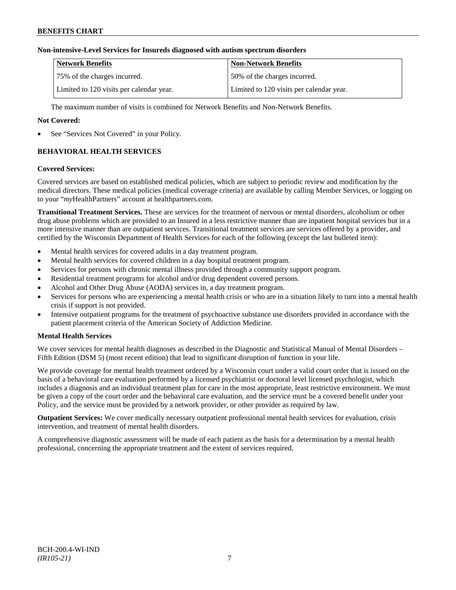## **Non-intensive-Level Services for Insureds diagnosed with autism spectrum disorders**

| <b>Network Benefits</b>                  | <b>Non-Network Benefits</b>              |
|------------------------------------------|------------------------------------------|
| 75% of the charges incurred.             | 150% of the charges incurred.            |
| Limited to 120 visits per calendar year. | Limited to 120 visits per calendar year. |

The maximum number of visits is combined for Network Benefits and Non-Network Benefits.

## **Not Covered:**

See "Services Not Covered" in your Policy.

## **BEHAVIORAL HEALTH SERVICES**

#### **Covered Services:**

Covered services are based on established medical policies, which are subject to periodic review and modification by the medical directors. These medical policies (medical coverage criteria) are available by calling Member Services, or logging on to your "*my*HealthPartners" account at [healthpartners.com.](http://www.healthpartners.com/)

**Transitional Treatment Services.** These are services for the treatment of nervous or mental disorders, alcoholism or other drug abuse problems which are provided to an Insured in a less restrictive manner than are inpatient hospital services but in a more intensive manner than are outpatient services. Transitional treatment services are services offered by a provider, and certified by the Wisconsin Department of Health Services for each of the following (except the last bulleted item):

- Mental health services for covered adults in a day treatment program.
- Mental health services for covered children in a day hospital treatment program.
- Services for persons with chronic mental illness provided through a community support program.
- Residential treatment programs for alcohol and/or drug dependent covered persons.
- Alcohol and Other Drug Abuse (AODA) services in, a day treatment program.
- Services for persons who are experiencing a mental health crisis or who are in a situation likely to turn into a mental health crisis if support is not provided.
- Intensive outpatient programs for the treatment of psychoactive substance use disorders provided in accordance with the patient placement criteria of the American Society of Addiction Medicine.

## **Mental Health Services**

We cover services for mental health diagnoses as described in the Diagnostic and Statistical Manual of Mental Disorders – Fifth Edition (DSM 5) (most recent edition) that lead to significant disruption of function in your life.

We provide coverage for mental health treatment ordered by a Wisconsin court under a valid court order that is issued on the basis of a behavioral care evaluation performed by a licensed psychiatrist or doctoral level licensed psychologist, which includes a diagnosis and an individual treatment plan for care in the most appropriate, least restrictive environment. We must be given a copy of the court order and the behavioral care evaluation, and the service must be a covered benefit under your Policy, and the service must be provided by a network provider, or other provider as required by law.

**Outpatient Services:** We cover medically necessary outpatient professional mental health services for evaluation, crisis intervention, and treatment of mental health disorders.

A comprehensive diagnostic assessment will be made of each patient as the basis for a determination by a mental health professional, concerning the appropriate treatment and the extent of services required.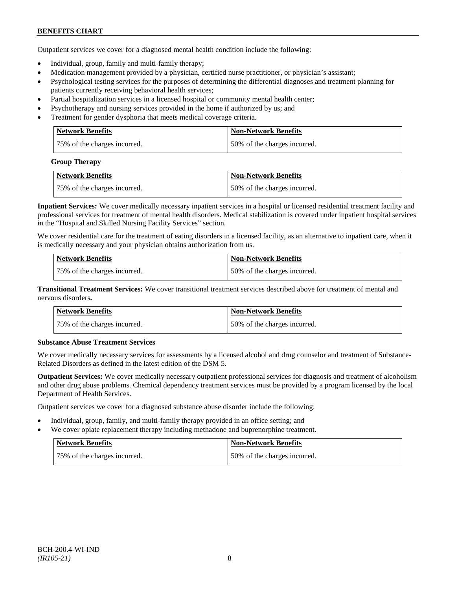## **BENEFITS CHART**

Outpatient services we cover for a diagnosed mental health condition include the following:

- Individual, group, family and multi-family therapy;
- Medication management provided by a physician, certified nurse practitioner, or physician's assistant;
- Psychological testing services for the purposes of determining the differential diagnoses and treatment planning for patients currently receiving behavioral health services;
- Partial hospitalization services in a licensed hospital or community mental health center;
- Psychotherapy and nursing services provided in the home if authorized by us; and
- Treatment for gender dysphoria that meets medical coverage criteria.

| <b>Network Benefits</b>      | <b>Non-Network Benefits</b>  |
|------------------------------|------------------------------|
| 75% of the charges incurred. | 50% of the charges incurred. |

#### **Group Therapy**

| <b>Network Benefits</b>      | <b>Non-Network Benefits</b>  |
|------------------------------|------------------------------|
| 75% of the charges incurred. | 50% of the charges incurred. |

**Inpatient Services:** We cover medically necessary inpatient services in a hospital or licensed residential treatment facility and professional services for treatment of mental health disorders. Medical stabilization is covered under inpatient hospital services in the "Hospital and Skilled Nursing Facility Services" section.

We cover residential care for the treatment of eating disorders in a licensed facility, as an alternative to inpatient care, when it is medically necessary and your physician obtains authorization from us.

| <b>Network Benefits</b>      | <b>Non-Network Benefits</b>  |
|------------------------------|------------------------------|
| 75% of the charges incurred. | 50% of the charges incurred. |

**Transitional Treatment Services:** We cover transitional treatment services described above for treatment of mental and nervous disorders**.**

| <b>Network Benefits</b>      | <b>Non-Network Benefits</b>   |
|------------------------------|-------------------------------|
| 75% of the charges incurred. | 150% of the charges incurred. |

## **Substance Abuse Treatment Services**

We cover medically necessary services for assessments by a licensed alcohol and drug counselor and treatment of Substance-Related Disorders as defined in the latest edition of the DSM 5.

**Outpatient Services:** We cover medically necessary outpatient professional services for diagnosis and treatment of alcoholism and other drug abuse problems. Chemical dependency treatment services must be provided by a program licensed by the local Department of Health Services.

Outpatient services we cover for a diagnosed substance abuse disorder include the following:

- Individual, group, family, and multi-family therapy provided in an office setting; and
- We cover opiate replacement therapy including methadone and buprenorphine treatment.

| Network Benefits             | Non-Network Benefits         |
|------------------------------|------------------------------|
| 75% of the charges incurred. | 50% of the charges incurred. |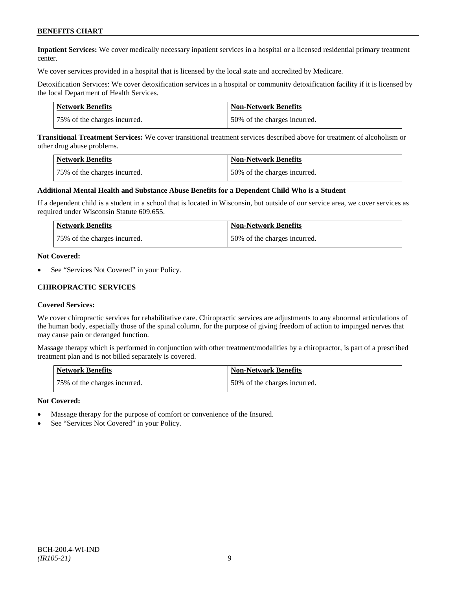## **BENEFITS CHART**

**Inpatient Services:** We cover medically necessary inpatient services in a hospital or a licensed residential primary treatment center.

We cover services provided in a hospital that is licensed by the local state and accredited by Medicare.

Detoxification Services: We cover detoxification services in a hospital or community detoxification facility if it is licensed by the local Department of Health Services.

| Network Benefits             | <b>Non-Network Benefits</b>  |
|------------------------------|------------------------------|
| 75% of the charges incurred. | 50% of the charges incurred. |

**Transitional Treatment Services:** We cover transitional treatment services described above for treatment of alcoholism or other drug abuse problems.

| <b>Network Benefits</b>      | <b>Non-Network Benefits</b>  |
|------------------------------|------------------------------|
| 75% of the charges incurred. | 50% of the charges incurred. |

#### **Additional Mental Health and Substance Abuse Benefits for a Dependent Child Who is a Student**

If a dependent child is a student in a school that is located in Wisconsin, but outside of our service area, we cover services as required under Wisconsin Statute 609.655.

| <b>Network Benefits</b>      | <b>Non-Network Benefits</b>  |
|------------------------------|------------------------------|
| 75% of the charges incurred. | 50% of the charges incurred. |

#### **Not Covered:**

See "Services Not Covered" in your Policy.

#### **CHIROPRACTIC SERVICES**

#### **Covered Services:**

We cover chiropractic services for rehabilitative care. Chiropractic services are adjustments to any abnormal articulations of the human body, especially those of the spinal column, for the purpose of giving freedom of action to impinged nerves that may cause pain or deranged function.

Massage therapy which is performed in conjunction with other treatment/modalities by a chiropractor, is part of a prescribed treatment plan and is not billed separately is covered.

| <b>Network Benefits</b>      | Non-Network Benefits         |
|------------------------------|------------------------------|
| 75% of the charges incurred. | 50% of the charges incurred. |

- Massage therapy for the purpose of comfort or convenience of the Insured.
- See "Services Not Covered" in your Policy.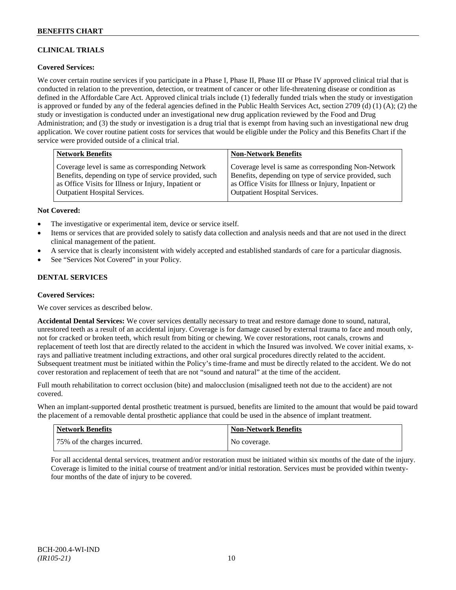## **CLINICAL TRIALS**

## **Covered Services:**

We cover certain routine services if you participate in a Phase I, Phase II, Phase III or Phase IV approved clinical trial that is conducted in relation to the prevention, detection, or treatment of cancer or other life-threatening disease or condition as defined in the Affordable Care Act. Approved clinical trials include (1) federally funded trials when the study or investigation is approved or funded by any of the federal agencies defined in the Public Health Services Act, section 2709 (d) (1) (A); (2) the study or investigation is conducted under an investigational new drug application reviewed by the Food and Drug Administration; and (3) the study or investigation is a drug trial that is exempt from having such an investigational new drug application. We cover routine patient costs for services that would be eligible under the Policy and this Benefits Chart if the service were provided outside of a clinical trial.

| <b>Network Benefits</b>                               | <b>Non-Network Benefits</b>                           |
|-------------------------------------------------------|-------------------------------------------------------|
| Coverage level is same as corresponding Network       | Coverage level is same as corresponding Non-Network   |
| Benefits, depending on type of service provided, such | Benefits, depending on type of service provided, such |
| as Office Visits for Illness or Injury, Inpatient or  | as Office Visits for Illness or Injury, Inpatient or  |
| Outpatient Hospital Services.                         | <b>Outpatient Hospital Services.</b>                  |

#### **Not Covered:**

- The investigative or experimental item, device or service itself.
- Items or services that are provided solely to satisfy data collection and analysis needs and that are not used in the direct clinical management of the patient.
- A service that is clearly inconsistent with widely accepted and established standards of care for a particular diagnosis.
- See "Services Not Covered" in your Policy.

## **DENTAL SERVICES**

#### **Covered Services:**

We cover services as described below.

**Accidental Dental Services:** We cover services dentally necessary to treat and restore damage done to sound, natural, unrestored teeth as a result of an accidental injury. Coverage is for damage caused by external trauma to face and mouth only, not for cracked or broken teeth, which result from biting or chewing. We cover restorations, root canals, crowns and replacement of teeth lost that are directly related to the accident in which the Insured was involved. We cover initial exams, xrays and palliative treatment including extractions, and other oral surgical procedures directly related to the accident. Subsequent treatment must be initiated within the Policy's time-frame and must be directly related to the accident. We do not cover restoration and replacement of teeth that are not "sound and natural" at the time of the accident.

Full mouth rehabilitation to correct occlusion (bite) and malocclusion (misaligned teeth not due to the accident) are not covered.

When an implant-supported dental prosthetic treatment is pursued, benefits are limited to the amount that would be paid toward the placement of a removable dental prosthetic appliance that could be used in the absence of implant treatment.

| Network Benefits             | <b>Non-Network Benefits</b> |
|------------------------------|-----------------------------|
| 75% of the charges incurred. | No coverage.                |

For all accidental dental services, treatment and/or restoration must be initiated within six months of the date of the injury. Coverage is limited to the initial course of treatment and/or initial restoration. Services must be provided within twentyfour months of the date of injury to be covered.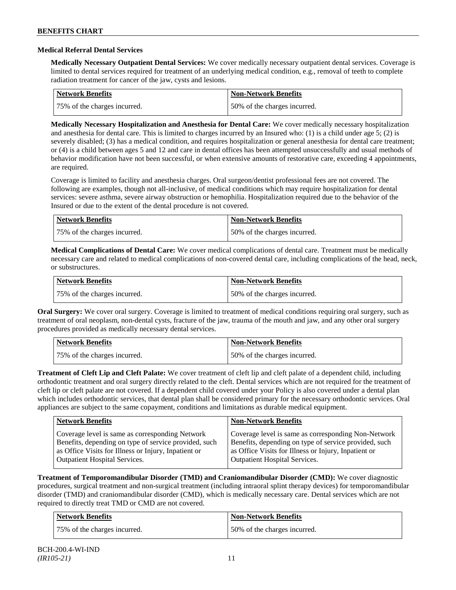#### **Medical Referral Dental Services**

**Medically Necessary Outpatient Dental Services:** We cover medically necessary outpatient dental services. Coverage is limited to dental services required for treatment of an underlying medical condition, e.g., removal of teeth to complete radiation treatment for cancer of the jaw, cysts and lesions.

| <b>Network Benefits</b>      | <b>Non-Network Benefits</b>  |
|------------------------------|------------------------------|
| 75% of the charges incurred. | 50% of the charges incurred. |

**Medically Necessary Hospitalization and Anesthesia for Dental Care:** We cover medically necessary hospitalization and anesthesia for dental care. This is limited to charges incurred by an Insured who: (1) is a child under age 5; (2) is severely disabled; (3) has a medical condition, and requires hospitalization or general anesthesia for dental care treatment; or (4) is a child between ages 5 and 12 and care in dental offices has been attempted unsuccessfully and usual methods of behavior modification have not been successful, or when extensive amounts of restorative care, exceeding 4 appointments, are required.

Coverage is limited to facility and anesthesia charges. Oral surgeon/dentist professional fees are not covered. The following are examples, though not all-inclusive, of medical conditions which may require hospitalization for dental services: severe asthma, severe airway obstruction or hemophilia. Hospitalization required due to the behavior of the Insured or due to the extent of the dental procedure is not covered.

| Network Benefits             | <b>Non-Network Benefits</b>  |
|------------------------------|------------------------------|
| 75% of the charges incurred. | 50% of the charges incurred. |

**Medical Complications of Dental Care:** We cover medical complications of dental care. Treatment must be medically necessary care and related to medical complications of non-covered dental care, including complications of the head, neck, or substructures.

| Network Benefits             | <b>Non-Network Benefits</b>  |
|------------------------------|------------------------------|
| 75% of the charges incurred. | 50% of the charges incurred. |

**Oral Surgery:** We cover oral surgery. Coverage is limited to treatment of medical conditions requiring oral surgery, such as treatment of oral neoplasm, non-dental cysts, fracture of the jaw, trauma of the mouth and jaw, and any other oral surgery procedures provided as medically necessary dental services.

| <b>Network Benefits</b>      | <b>Non-Network Benefits</b>  |
|------------------------------|------------------------------|
| 75% of the charges incurred. | 50% of the charges incurred. |

**Treatment of Cleft Lip and Cleft Palate:** We cover treatment of cleft lip and cleft palate of a dependent child, including orthodontic treatment and oral surgery directly related to the cleft. Dental services which are not required for the treatment of cleft lip or cleft palate are not covered. If a dependent child covered under your Policy is also covered under a dental plan which includes orthodontic services, that dental plan shall be considered primary for the necessary orthodontic services. Oral appliances are subject to the same copayment, conditions and limitations as durable medical equipment.

| <b>Network Benefits</b>                               | <b>Non-Network Benefits</b>                           |
|-------------------------------------------------------|-------------------------------------------------------|
| Coverage level is same as corresponding Network       | Coverage level is same as corresponding Non-Network   |
| Benefits, depending on type of service provided, such | Benefits, depending on type of service provided, such |
| as Office Visits for Illness or Injury, Inpatient or  | as Office Visits for Illness or Injury, Inpatient or  |
| <b>Outpatient Hospital Services.</b>                  | <b>Outpatient Hospital Services.</b>                  |

**Treatment of Temporomandibular Disorder (TMD) and Craniomandibular Disorder (CMD):** We cover diagnostic procedures, surgical treatment and non-surgical treatment (including intraoral splint therapy devices) for temporomandibular disorder (TMD) and craniomandibular disorder (CMD), which is medically necessary care. Dental services which are not required to directly treat TMD or CMD are not covered.

| <b>Network Benefits</b>      | <b>Non-Network Benefits</b>  |
|------------------------------|------------------------------|
| 75% of the charges incurred. | 50% of the charges incurred. |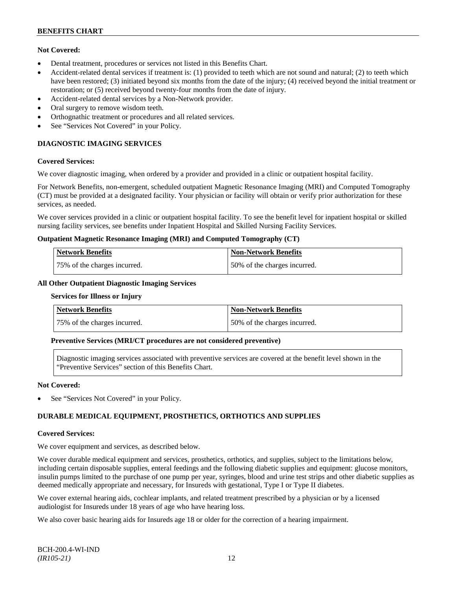## **Not Covered:**

- Dental treatment, procedures or services not listed in this Benefits Chart.
- Accident-related dental services if treatment is: (1) provided to teeth which are not sound and natural; (2) to teeth which have been restored; (3) initiated beyond six months from the date of the injury; (4) received beyond the initial treatment or restoration; or (5) received beyond twenty-four months from the date of injury.
- Accident-related dental services by a Non-Network provider.
- Oral surgery to remove wisdom teeth.
- Orthognathic treatment or procedures and all related services.
- See "Services Not Covered" in your Policy.

## **DIAGNOSTIC IMAGING SERVICES**

#### **Covered Services:**

We cover diagnostic imaging, when ordered by a provider and provided in a clinic or outpatient hospital facility.

For Network Benefits, non-emergent, scheduled outpatient Magnetic Resonance Imaging (MRI) and Computed Tomography (CT) must be provided at a designated facility. Your physician or facility will obtain or verify prior authorization for these services, as needed.

We cover services provided in a clinic or outpatient hospital facility. To see the benefit level for inpatient hospital or skilled nursing facility services, see benefits under Inpatient Hospital and Skilled Nursing Facility Services.

#### **Outpatient Magnetic Resonance Imaging (MRI) and Computed Tomography (CT)**

| <b>Network Benefits</b>      | <b>Non-Network Benefits</b>  |
|------------------------------|------------------------------|
| 75% of the charges incurred. | 50% of the charges incurred. |

#### **All Other Outpatient Diagnostic Imaging Services**

#### **Services for Illness or Injury**

| Network Benefits             | Non-Network Benefits          |
|------------------------------|-------------------------------|
| 75% of the charges incurred. | 150% of the charges incurred. |

## **Preventive Services (MRI/CT procedures are not considered preventive)**

Diagnostic imaging services associated with preventive services are covered at the benefit level shown in the "Preventive Services" section of this Benefits Chart.

#### **Not Covered:**

See "Services Not Covered" in your Policy.

## **DURABLE MEDICAL EQUIPMENT, PROSTHETICS, ORTHOTICS AND SUPPLIES**

#### **Covered Services:**

We cover equipment and services, as described below.

We cover durable medical equipment and services, prosthetics, orthotics, and supplies, subject to the limitations below, including certain disposable supplies, enteral feedings and the following diabetic supplies and equipment: glucose monitors, insulin pumps limited to the purchase of one pump per year, syringes, blood and urine test strips and other diabetic supplies as deemed medically appropriate and necessary, for Insureds with gestational, Type I or Type II diabetes.

We cover external hearing aids, cochlear implants, and related treatment prescribed by a physician or by a licensed audiologist for Insureds under 18 years of age who have hearing loss.

We also cover basic hearing aids for Insureds age 18 or older for the correction of a hearing impairment.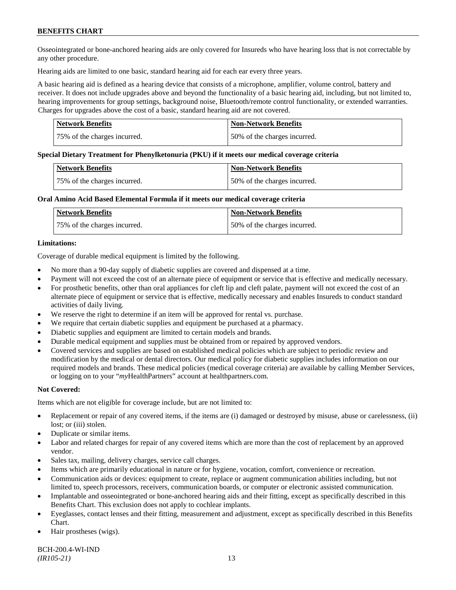## **BENEFITS CHART**

Osseointegrated or bone-anchored hearing aids are only covered for Insureds who have hearing loss that is not correctable by any other procedure.

Hearing aids are limited to one basic, standard hearing aid for each ear every three years.

A basic hearing aid is defined as a hearing device that consists of a microphone, amplifier, volume control, battery and receiver. It does not include upgrades above and beyond the functionality of a basic hearing aid, including, but not limited to, hearing improvements for group settings, background noise, Bluetooth/remote control functionality, or extended warranties. Charges for upgrades above the cost of a basic, standard hearing aid are not covered.

| Network Benefits             | <b>Non-Network Benefits</b>  |
|------------------------------|------------------------------|
| 75% of the charges incurred. | 50% of the charges incurred. |

#### **Special Dietary Treatment for Phenylketonuria (PKU) if it meets our medical coverage criteria**

| <b>Network Benefits</b>      | <b>Non-Network Benefits</b>  |
|------------------------------|------------------------------|
| 75% of the charges incurred. | 50% of the charges incurred. |

#### **Oral Amino Acid Based Elemental Formula if it meets our medical coverage criteria**

| Network Benefits             | Non-Network Benefits         |
|------------------------------|------------------------------|
| 75% of the charges incurred. | 50% of the charges incurred. |

#### **Limitations:**

Coverage of durable medical equipment is limited by the following.

- No more than a 90-day supply of diabetic supplies are covered and dispensed at a time.
- Payment will not exceed the cost of an alternate piece of equipment or service that is effective and medically necessary.
- For prosthetic benefits, other than oral appliances for cleft lip and cleft palate, payment will not exceed the cost of an alternate piece of equipment or service that is effective, medically necessary and enables Insureds to conduct standard activities of daily living.
- We reserve the right to determine if an item will be approved for rental vs. purchase.
- We require that certain diabetic supplies and equipment be purchased at a pharmacy.
- Diabetic supplies and equipment are limited to certain models and brands.
- Durable medical equipment and supplies must be obtained from or repaired by approved vendors.
- Covered services and supplies are based on established medical policies which are subject to periodic review and modification by the medical or dental directors. Our medical policy for diabetic supplies includes information on our required models and brands. These medical policies (medical coverage criteria) are available by calling Member Services, or logging on to your "*my*HealthPartners" account a[t healthpartners.com.](http://www.healthpartners.com/)

## **Not Covered:**

Items which are not eligible for coverage include, but are not limited to:

- Replacement or repair of any covered items, if the items are (i) damaged or destroyed by misuse, abuse or carelessness, (ii) lost; or (iii) stolen.
- Duplicate or similar items.
- Labor and related charges for repair of any covered items which are more than the cost of replacement by an approved vendor.
- Sales tax, mailing, delivery charges, service call charges.
- Items which are primarily educational in nature or for hygiene, vocation, comfort, convenience or recreation.
- Communication aids or devices: equipment to create, replace or augment communication abilities including, but not limited to, speech processors, receivers, communication boards, or computer or electronic assisted communication.
- Implantable and osseointegrated or bone-anchored hearing aids and their fitting, except as specifically described in this Benefits Chart. This exclusion does not apply to cochlear implants.
- Eyeglasses, contact lenses and their fitting, measurement and adjustment, except as specifically described in this Benefits Chart.
- Hair prostheses (wigs).

BCH-200.4-WI-IND *(IR105-21)* 13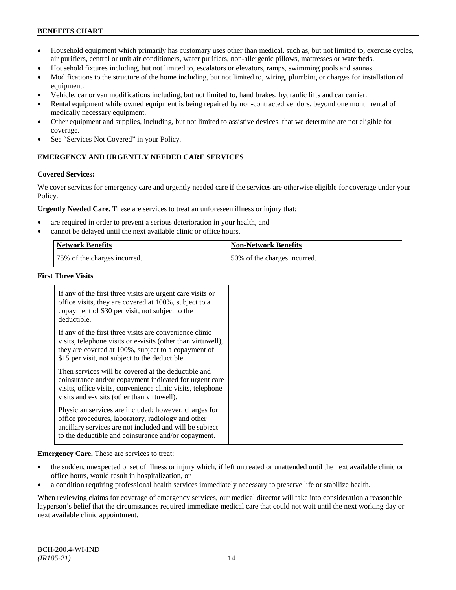## **BENEFITS CHART**

- Household equipment which primarily has customary uses other than medical, such as, but not limited to, exercise cycles, air purifiers, central or unit air conditioners, water purifiers, non-allergenic pillows, mattresses or waterbeds.
- Household fixtures including, but not limited to, escalators or elevators, ramps, swimming pools and saunas.
- Modifications to the structure of the home including, but not limited to, wiring, plumbing or charges for installation of equipment.
- Vehicle, car or van modifications including, but not limited to, hand brakes, hydraulic lifts and car carrier.
- Rental equipment while owned equipment is being repaired by non-contracted vendors, beyond one month rental of medically necessary equipment.
- Other equipment and supplies, including, but not limited to assistive devices, that we determine are not eligible for coverage.
- See "Services Not Covered" in your Policy.

## **EMERGENCY AND URGENTLY NEEDED CARE SERVICES**

#### **Covered Services:**

We cover services for emergency care and urgently needed care if the services are otherwise eligible for coverage under your Policy.

**Urgently Needed Care.** These are services to treat an unforeseen illness or injury that:

- are required in order to prevent a serious deterioration in your health, and
- cannot be delayed until the next available clinic or office hours.

| Network Benefits             | <b>Non-Network Benefits</b>  |
|------------------------------|------------------------------|
| 75% of the charges incurred. | 50% of the charges incurred. |

#### **First Three Visits**

| If any of the first three visits are urgent care visits or<br>office visits, they are covered at 100%, subject to a<br>copayment of \$30 per visit, not subject to the<br>deductible.                                            |  |
|----------------------------------------------------------------------------------------------------------------------------------------------------------------------------------------------------------------------------------|--|
| If any of the first three visits are convenience clinic<br>visits, telephone visits or e-visits (other than virtuwell),<br>they are covered at 100%, subject to a copayment of<br>\$15 per visit, not subject to the deductible. |  |
| Then services will be covered at the deductible and<br>coinsurance and/or copayment indicated for urgent care<br>visits, office visits, convenience clinic visits, telephone<br>visits and e-visits (other than virtuwell).      |  |
| Physician services are included; however, charges for<br>office procedures, laboratory, radiology and other<br>ancillary services are not included and will be subject<br>to the deductible and coinsurance and/or copayment.    |  |

**Emergency Care.** These are services to treat:

- the sudden, unexpected onset of illness or injury which, if left untreated or unattended until the next available clinic or office hours, would result in hospitalization, or
- a condition requiring professional health services immediately necessary to preserve life or stabilize health.

When reviewing claims for coverage of emergency services, our medical director will take into consideration a reasonable layperson's belief that the circumstances required immediate medical care that could not wait until the next working day or next available clinic appointment.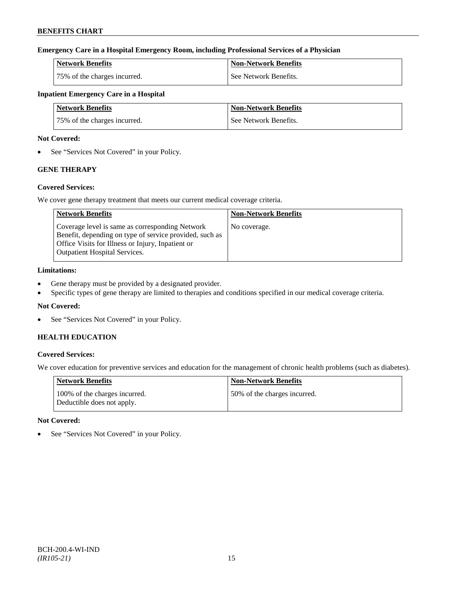## **Emergency Care in a Hospital Emergency Room, including Professional Services of a Physician**

| Network Benefits             | <b>Non-Network Benefits</b> |
|------------------------------|-----------------------------|
| 75% of the charges incurred. | See Network Benefits.       |

## **Inpatient Emergency Care in a Hospital**

| Network Benefits             | <b>Non-Network Benefits</b> |
|------------------------------|-----------------------------|
| 75% of the charges incurred. | See Network Benefits.       |

### **Not Covered:**

• See "Services Not Covered" in your Policy.

## **GENE THERAPY**

## **Covered Services:**

We cover gene therapy treatment that meets our current medical coverage criteria.

| <b>Network Benefits</b>                                                                                                                                                                                 | <b>Non-Network Benefits</b> |
|---------------------------------------------------------------------------------------------------------------------------------------------------------------------------------------------------------|-----------------------------|
| Coverage level is same as corresponding Network<br>Benefit, depending on type of service provided, such as<br>Office Visits for Illness or Injury, Inpatient or<br><b>Outpatient Hospital Services.</b> | No coverage.                |

## **Limitations:**

- Gene therapy must be provided by a designated provider.
- Specific types of gene therapy are limited to therapies and conditions specified in our medical coverage criteria.

## **Not Covered:**

• See "Services Not Covered" in your Policy.

## **HEALTH EDUCATION**

## **Covered Services:**

We cover education for preventive services and education for the management of chronic health problems (such as diabetes).

| Network Benefits                                            | <b>Non-Network Benefits</b>  |
|-------------------------------------------------------------|------------------------------|
| 100% of the charges incurred.<br>Deductible does not apply. | 50% of the charges incurred. |

## **Not Covered:**

• See "Services Not Covered" in your Policy.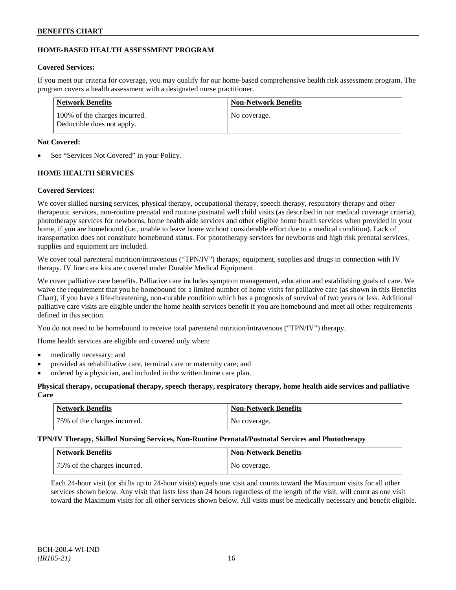## **HOME-BASED HEALTH ASSESSMENT PROGRAM**

## **Covered Services:**

If you meet our criteria for coverage, you may qualify for our home-based comprehensive health risk assessment program. The program covers a health assessment with a designated nurse practitioner.

| Network Benefits                                            | <b>Non-Network Benefits</b> |
|-------------------------------------------------------------|-----------------------------|
| 100% of the charges incurred.<br>Deductible does not apply. | No coverage.                |

## **Not Covered:**

See "Services Not Covered" in your Policy.

## **HOME HEALTH SERVICES**

## **Covered Services:**

We cover skilled nursing services, physical therapy, occupational therapy, speech therapy, respiratory therapy and other therapeutic services, non-routine prenatal and routine postnatal well child visits (as described in our medical coverage criteria), phototherapy services for newborns, home health aide services and other eligible home health services when provided in your home, if you are homebound (i.e., unable to leave home without considerable effort due to a medical condition). Lack of transportation does not constitute homebound status. For phototherapy services for newborns and high risk prenatal services, supplies and equipment are included.

We cover total parenteral nutrition/intravenous ("TPN/IV") therapy, equipment, supplies and drugs in connection with IV therapy. IV line care kits are covered under Durable Medical Equipment.

We cover palliative care benefits. Palliative care includes symptom management, education and establishing goals of care. We waive the requirement that you be homebound for a limited number of home visits for palliative care (as shown in this Benefits Chart), if you have a life-threatening, non-curable condition which has a prognosis of survival of two years or less. Additional palliative care visits are eligible under the home health services benefit if you are homebound and meet all other requirements defined in this section.

You do not need to be homebound to receive total parenteral nutrition/intravenous ("TPN/IV") therapy.

Home health services are eligible and covered only when:

- medically necessary; and
- provided as rehabilitative care, terminal care or maternity care; and
- ordered by a physician, and included in the written home care plan.

## **Physical therapy, occupational therapy, speech therapy, respiratory therapy, home health aide services and palliative Care**

| Network Benefits             | <b>Non-Network Benefits</b> |
|------------------------------|-----------------------------|
| 75% of the charges incurred. | No coverage.                |

## **TPN/IV Therapy, Skilled Nursing Services, Non-Routine Prenatal/Postnatal Services and Phototherapy**

| Network Benefits             | <b>Non-Network Benefits</b> |
|------------------------------|-----------------------------|
| 75% of the charges incurred. | No coverage.                |

Each 24-hour visit (or shifts up to 24-hour visits) equals one visit and counts toward the Maximum visits for all other services shown below. Any visit that lasts less than 24 hours regardless of the length of the visit, will count as one visit toward the Maximum visits for all other services shown below. All visits must be medically necessary and benefit eligible.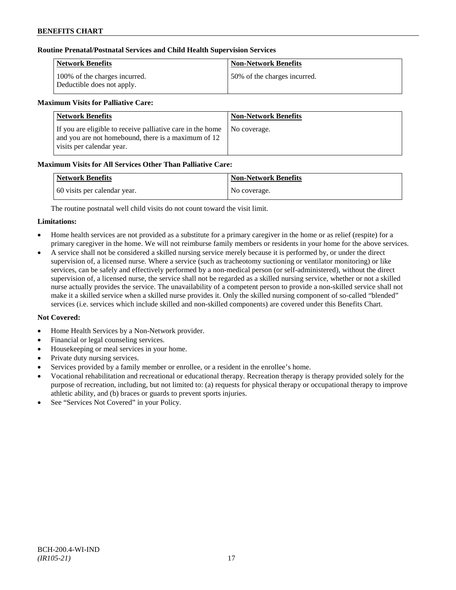## **Routine Prenatal/Postnatal Services and Child Health Supervision Services**

| Network Benefits                                            | <b>Non-Network Benefits</b>  |
|-------------------------------------------------------------|------------------------------|
| 100% of the charges incurred.<br>Deductible does not apply. | 50% of the charges incurred. |

## **Maximum Visits for Palliative Care:**

| <b>Network Benefits</b>                                                                                                                        | <b>Non-Network Benefits</b> |
|------------------------------------------------------------------------------------------------------------------------------------------------|-----------------------------|
| If you are eligible to receive palliative care in the home<br>and you are not homebound, there is a maximum of 12<br>visits per calendar year. | No coverage.                |

## **Maximum Visits for All Services Other Than Palliative Care:**

| <b>Network Benefits</b>      | Non-Network Benefits |
|------------------------------|----------------------|
| 60 visits per calendar year. | No coverage.         |

The routine postnatal well child visits do not count toward the visit limit.

## **Limitations:**

- Home health services are not provided as a substitute for a primary caregiver in the home or as relief (respite) for a primary caregiver in the home. We will not reimburse family members or residents in your home for the above services.
- A service shall not be considered a skilled nursing service merely because it is performed by, or under the direct supervision of, a licensed nurse. Where a service (such as tracheotomy suctioning or ventilator monitoring) or like services, can be safely and effectively performed by a non-medical person (or self-administered), without the direct supervision of, a licensed nurse, the service shall not be regarded as a skilled nursing service, whether or not a skilled nurse actually provides the service. The unavailability of a competent person to provide a non-skilled service shall not make it a skilled service when a skilled nurse provides it. Only the skilled nursing component of so-called "blended" services (i.e. services which include skilled and non-skilled components) are covered under this Benefits Chart.

- Home Health Services by a Non-Network provider.
- Financial or legal counseling services.
- Housekeeping or meal services in your home.
- Private duty nursing services.
- Services provided by a family member or enrollee, or a resident in the enrollee's home.
- Vocational rehabilitation and recreational or educational therapy. Recreation therapy is therapy provided solely for the purpose of recreation, including, but not limited to: (a) requests for physical therapy or occupational therapy to improve athletic ability, and (b) braces or guards to prevent sports injuries.
- See "Services Not Covered" in your Policy.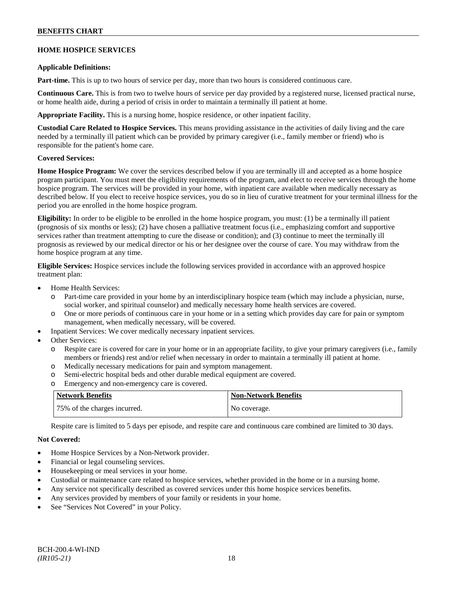## **BENEFITS CHART**

## **HOME HOSPICE SERVICES**

#### **Applicable Definitions:**

**Part-time.** This is up to two hours of service per day, more than two hours is considered continuous care.

**Continuous Care.** This is from two to twelve hours of service per day provided by a registered nurse, licensed practical nurse, or home health aide, during a period of crisis in order to maintain a terminally ill patient at home.

**Appropriate Facility.** This is a nursing home, hospice residence, or other inpatient facility.

**Custodial Care Related to Hospice Services.** This means providing assistance in the activities of daily living and the care needed by a terminally ill patient which can be provided by primary caregiver (i.e., family member or friend) who is responsible for the patient's home care.

## **Covered Services:**

**Home Hospice Program:** We cover the services described below if you are terminally ill and accepted as a home hospice program participant. You must meet the eligibility requirements of the program, and elect to receive services through the home hospice program. The services will be provided in your home, with inpatient care available when medically necessary as described below. If you elect to receive hospice services, you do so in lieu of curative treatment for your terminal illness for the period you are enrolled in the home hospice program.

**Eligibility:** In order to be eligible to be enrolled in the home hospice program, you must: (1) be a terminally ill patient (prognosis of six months or less); (2) have chosen a palliative treatment focus (i.e., emphasizing comfort and supportive services rather than treatment attempting to cure the disease or condition); and (3) continue to meet the terminally ill prognosis as reviewed by our medical director or his or her designee over the course of care. You may withdraw from the home hospice program at any time.

**Eligible Services:** Hospice services include the following services provided in accordance with an approved hospice treatment plan:

- Home Health Services:
	- o Part-time care provided in your home by an interdisciplinary hospice team (which may include a physician, nurse, social worker, and spiritual counselor) and medically necessary home health services are covered.
	- o One or more periods of continuous care in your home or in a setting which provides day care for pain or symptom management, when medically necessary, will be covered.
- Inpatient Services: We cover medically necessary inpatient services.
- Other Services:
	- o Respite care is covered for care in your home or in an appropriate facility, to give your primary caregivers (i.e., family members or friends) rest and/or relief when necessary in order to maintain a terminally ill patient at home*.*
	- o Medically necessary medications for pain and symptom management.
	- o Semi-electric hospital beds and other durable medical equipment are covered.
	- o Emergency and non-emergency care is covered.

| Network Benefits             | Non-Network Benefits |
|------------------------------|----------------------|
| 75% of the charges incurred. | No coverage.         |

Respite care is limited to 5 days per episode, and respite care and continuous care combined are limited to 30 days.

- Home Hospice Services by a Non-Network provider.
- Financial or legal counseling services.
- Housekeeping or meal services in your home.
- Custodial or maintenance care related to hospice services, whether provided in the home or in a nursing home.
- Any service not specifically described as covered services under this home hospice services benefits.
- Any services provided by members of your family or residents in your home.
- See "Services Not Covered" in your Policy.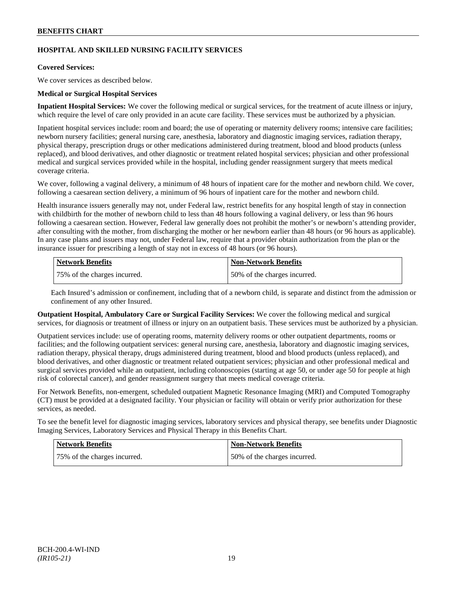## **HOSPITAL AND SKILLED NURSING FACILITY SERVICES**

#### **Covered Services:**

We cover services as described below.

#### **Medical or Surgical Hospital Services**

**Inpatient Hospital Services:** We cover the following medical or surgical services, for the treatment of acute illness or injury, which require the level of care only provided in an acute care facility. These services must be authorized by a physician.

Inpatient hospital services include: room and board; the use of operating or maternity delivery rooms; intensive care facilities; newborn nursery facilities; general nursing care, anesthesia, laboratory and diagnostic imaging services, radiation therapy, physical therapy, prescription drugs or other medications administered during treatment, blood and blood products (unless replaced), and blood derivatives, and other diagnostic or treatment related hospital services; physician and other professional medical and surgical services provided while in the hospital, including gender reassignment surgery that meets medical coverage criteria.

We cover, following a vaginal delivery, a minimum of 48 hours of inpatient care for the mother and newborn child. We cover, following a caesarean section delivery, a minimum of 96 hours of inpatient care for the mother and newborn child.

Health insurance issuers generally may not, under Federal law, restrict benefits for any hospital length of stay in connection with childbirth for the mother of newborn child to less than 48 hours following a vaginal delivery, or less than 96 hours following a caesarean section. However, Federal law generally does not prohibit the mother's or newborn's attending provider, after consulting with the mother, from discharging the mother or her newborn earlier than 48 hours (or 96 hours as applicable). In any case plans and issuers may not, under Federal law, require that a provider obtain authorization from the plan or the insurance issuer for prescribing a length of stay not in excess of 48 hours (or 96 hours).

| Network Benefits             | <b>Non-Network Benefits</b>  |
|------------------------------|------------------------------|
| 75% of the charges incurred. | 50% of the charges incurred. |

Each Insured's admission or confinement, including that of a newborn child, is separate and distinct from the admission or confinement of any other Insured.

**Outpatient Hospital, Ambulatory Care or Surgical Facility Services:** We cover the following medical and surgical services, for diagnosis or treatment of illness or injury on an outpatient basis. These services must be authorized by a physician.

Outpatient services include: use of operating rooms, maternity delivery rooms or other outpatient departments, rooms or facilities; and the following outpatient services: general nursing care, anesthesia, laboratory and diagnostic imaging services, radiation therapy, physical therapy, drugs administered during treatment, blood and blood products (unless replaced), and blood derivatives, and other diagnostic or treatment related outpatient services; physician and other professional medical and surgical services provided while an outpatient, including colonoscopies (starting at age 50, or under age 50 for people at high risk of colorectal cancer), and gender reassignment surgery that meets medical coverage criteria.

For Network Benefits, non-emergent, scheduled outpatient Magnetic Resonance Imaging (MRI) and Computed Tomography (CT) must be provided at a designated facility. Your physician or facility will obtain or verify prior authorization for these services, as needed.

To see the benefit level for diagnostic imaging services, laboratory services and physical therapy, see benefits under Diagnostic Imaging Services, Laboratory Services and Physical Therapy in this Benefits Chart.

| Network Benefits             | <b>Non-Network Benefits</b>  |
|------------------------------|------------------------------|
| 75% of the charges incurred. | 50% of the charges incurred. |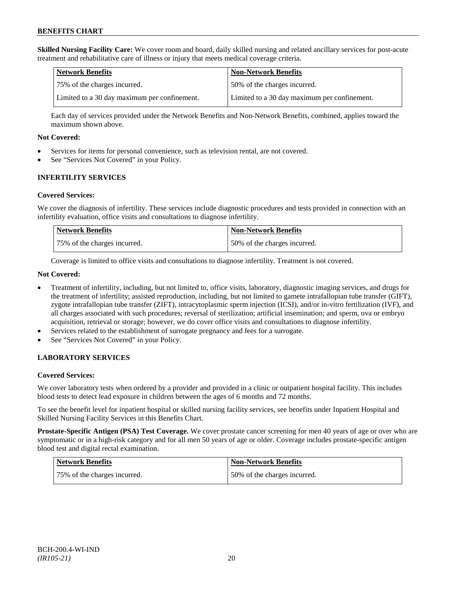**Skilled Nursing Facility Care:** We cover room and board, daily skilled nursing and related ancillary services for post-acute treatment and rehabilitative care of illness or injury that meets medical coverage criteria.

| Network Benefits                             | <b>Non-Network Benefits</b>                  |
|----------------------------------------------|----------------------------------------------|
| 175% of the charges incurred.                | 50% of the charges incurred.                 |
| Limited to a 30 day maximum per confinement. | Limited to a 30 day maximum per confinement. |

Each day of services provided under the Network Benefits and Non-Network Benefits, combined, applies toward the maximum shown above.

#### **Not Covered:**

- Services for items for personal convenience, such as television rental, are not covered.
- See "Services Not Covered" in your Policy.

## **INFERTILITY SERVICES**

#### **Covered Services:**

We cover the diagnosis of infertility. These services include diagnostic procedures and tests provided in connection with an infertility evaluation, office visits and consultations to diagnose infertility.

| <b>Network Benefits</b>      | <b>Non-Network Benefits</b>  |
|------------------------------|------------------------------|
| 75% of the charges incurred. | 50% of the charges incurred. |

Coverage is limited to office visits and consultations to diagnose infertility. Treatment is not covered.

#### **Not Covered:**

- Treatment of infertility, including, but not limited to, office visits, laboratory, diagnostic imaging services, and drugs for the treatment of infertility; assisted reproduction, including, but not limited to gamete intrafallopian tube transfer (GIFT), zygote intrafallopian tube transfer (ZIFT), intracytoplasmic sperm injection (ICSI), and/or in-vitro fertilization (IVF), and all charges associated with such procedures; reversal of sterilization; artificial insemination; and sperm, ova or embryo acquisition, retrieval or storage; however, we do cover office visits and consultations to diagnose infertility.
- Services related to the establishment of surrogate pregnancy and fees for a surrogate.
- See "Services Not Covered" in your Policy.

## **LABORATORY SERVICES**

## **Covered Services:**

We cover laboratory tests when ordered by a provider and provided in a clinic or outpatient hospital facility. This includes blood tests to detect lead exposure in children between the ages of 6 months and 72 months.

To see the benefit level for inpatient hospital or skilled nursing facility services, see benefits under Inpatient Hospital and Skilled Nursing Facility Services in this Benefits Chart.

**Prostate-Specific Antigen (PSA) Test Coverage.** We cover prostate cancer screening for men 40 years of age or over who are symptomatic or in a high-risk category and for all men 50 years of age or older. Coverage includes prostate-specific antigen blood test and digital rectal examination.

| Network Benefits             | Non-Network Benefits         |
|------------------------------|------------------------------|
| 75% of the charges incurred. | 50% of the charges incurred. |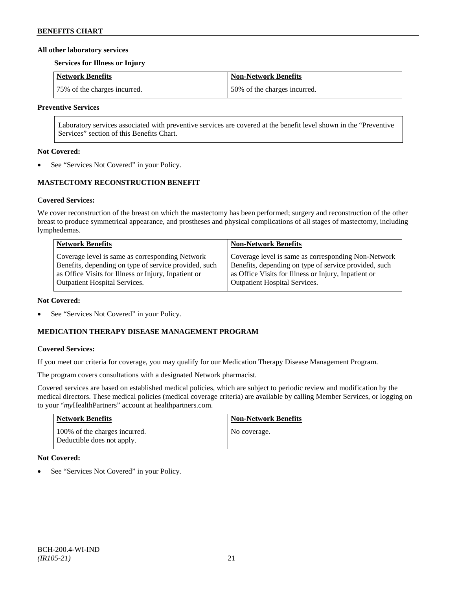#### **All other laboratory services**

#### **Services for Illness or Injury**

| Network Benefits             | Non-Network Benefits         |
|------------------------------|------------------------------|
| 75% of the charges incurred. | 50% of the charges incurred. |

#### **Preventive Services**

Laboratory services associated with preventive services are covered at the benefit level shown in the "Preventive Services" section of this Benefits Chart.

#### **Not Covered:**

See "Services Not Covered" in your Policy.

## **MASTECTOMY RECONSTRUCTION BENEFIT**

## **Covered Services:**

We cover reconstruction of the breast on which the mastectomy has been performed; surgery and reconstruction of the other breast to produce symmetrical appearance, and prostheses and physical complications of all stages of mastectomy, including lymphedemas.

| <b>Network Benefits</b>                               | <b>Non-Network Benefits</b>                           |
|-------------------------------------------------------|-------------------------------------------------------|
| Coverage level is same as corresponding Network       | Coverage level is same as corresponding Non-Network   |
| Benefits, depending on type of service provided, such | Benefits, depending on type of service provided, such |
| as Office Visits for Illness or Injury, Inpatient or  | as Office Visits for Illness or Injury, Inpatient or  |
| Outpatient Hospital Services.                         | <b>Outpatient Hospital Services.</b>                  |

#### **Not Covered:**

• See "Services Not Covered" in your Policy.

## **MEDICATION THERAPY DISEASE MANAGEMENT PROGRAM**

## **Covered Services:**

If you meet our criteria for coverage, you may qualify for our Medication Therapy Disease Management Program.

The program covers consultations with a designated Network pharmacist.

Covered services are based on established medical policies, which are subject to periodic review and modification by the medical directors. These medical policies (medical coverage criteria) are available by calling Member Services, or logging on to your "*my*HealthPartners" account at [healthpartners.com.](http://www.healthpartners.com/)

| Network Benefits                                            | <b>Non-Network Benefits</b> |
|-------------------------------------------------------------|-----------------------------|
| 100% of the charges incurred.<br>Deductible does not apply. | No coverage.                |

## **Not Covered:**

See "Services Not Covered" in your Policy.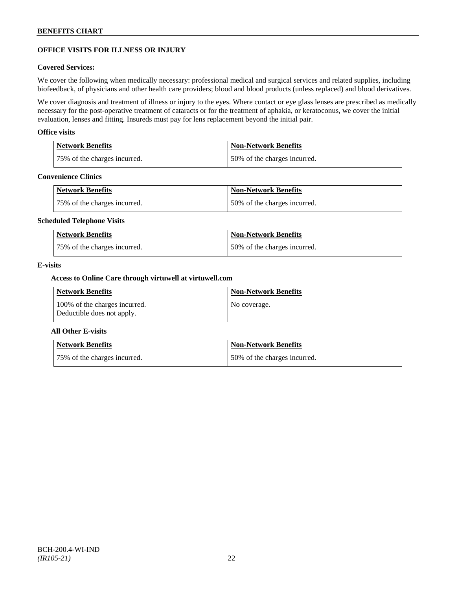## **OFFICE VISITS FOR ILLNESS OR INJURY**

#### **Covered Services:**

We cover the following when medically necessary: professional medical and surgical services and related supplies, including biofeedback, of physicians and other health care providers; blood and blood products (unless replaced) and blood derivatives.

We cover diagnosis and treatment of illness or injury to the eyes. Where contact or eye glass lenses are prescribed as medically necessary for the post-operative treatment of cataracts or for the treatment of aphakia, or keratoconus, we cover the initial evaluation, lenses and fitting. Insureds must pay for lens replacement beyond the initial pair.

#### **Office visits**

| Network Benefits             | Non-Network Benefits         |
|------------------------------|------------------------------|
| 75% of the charges incurred. | 50% of the charges incurred. |

## **Convenience Clinics**

| Network Benefits             | <b>Non-Network Benefits</b>  |
|------------------------------|------------------------------|
| 75% of the charges incurred. | 50% of the charges incurred. |

#### **Scheduled Telephone Visits**

| <b>Network Benefits</b>      | <b>Non-Network Benefits</b>  |
|------------------------------|------------------------------|
| 75% of the charges incurred. | 50% of the charges incurred. |

#### **E-visits**

#### **Access to Online Care through virtuwell a[t virtuwell.com](http://www.virtuwell.com/)**

| Network Benefits                                            | <b>Non-Network Benefits</b> |
|-------------------------------------------------------------|-----------------------------|
| 100% of the charges incurred.<br>Deductible does not apply. | No coverage.                |

## **All Other E-visits**

| Network Benefits             | <b>Non-Network Benefits</b>  |
|------------------------------|------------------------------|
| 75% of the charges incurred. | 50% of the charges incurred. |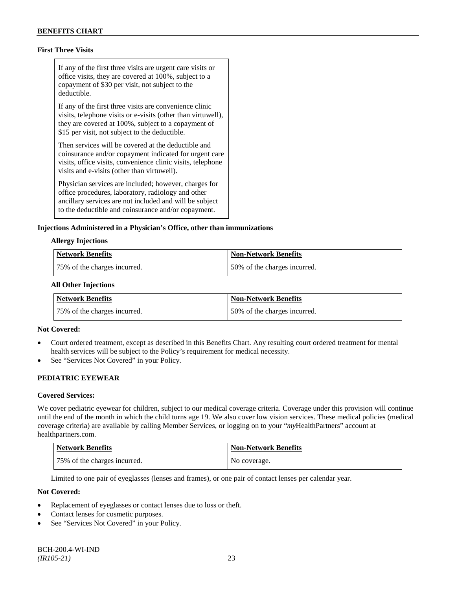## **First Three Visits**

If any of the first three visits are urgent care visits or office visits, they are covered at 100%, subject to a copayment of \$30 per visit, not subject to the deductible.

If any of the first three visits are convenience clinic visits, telephone visits or e-visits (other than virtuwell), they are covered at 100%, subject to a copayment of \$15 per visit, not subject to the deductible.

Then services will be covered at the deductible and coinsurance and/or copayment indicated for urgent care visits, office visits, convenience clinic visits, telephone visits and e-visits (other than virtuwell).

Physician services are included; however, charges for office procedures, laboratory, radiology and other ancillary services are not included and will be subject to the deductible and coinsurance and/or copayment.

#### **Injections Administered in a Physician's Office, other than immunizations**

#### **Allergy Injections**

| Network Benefits             | Non-Network Benefits         |
|------------------------------|------------------------------|
| 75% of the charges incurred. | 50% of the charges incurred. |

#### **All Other Injections**

| Network Benefits             | <b>Non-Network Benefits</b>  |
|------------------------------|------------------------------|
| 75% of the charges incurred. | 50% of the charges incurred. |

#### **Not Covered:**

- Court ordered treatment, except as described in this Benefits Chart. Any resulting court ordered treatment for mental health services will be subject to the Policy's requirement for medical necessity.
- See "Services Not Covered" in your Policy.

## **PEDIATRIC EYEWEAR**

#### **Covered Services:**

We cover pediatric eyewear for children, subject to our medical coverage criteria. Coverage under this provision will continue until the end of the month in which the child turns age 19. We also cover low vision services. These medical policies (medical coverage criteria) are available by calling Member Services, or logging on to your "*my*HealthPartners" account at [healthpartners.com.](http://www.healthpartners.com/)

| <b>Network Benefits</b>      | <b>Non-Network Benefits</b> |
|------------------------------|-----------------------------|
| 75% of the charges incurred. | No coverage.                |

Limited to one pair of eyeglasses (lenses and frames), or one pair of contact lenses per calendar year.

- Replacement of eyeglasses or contact lenses due to loss or theft.
- Contact lenses for cosmetic purposes.
- See "Services Not Covered" in your Policy.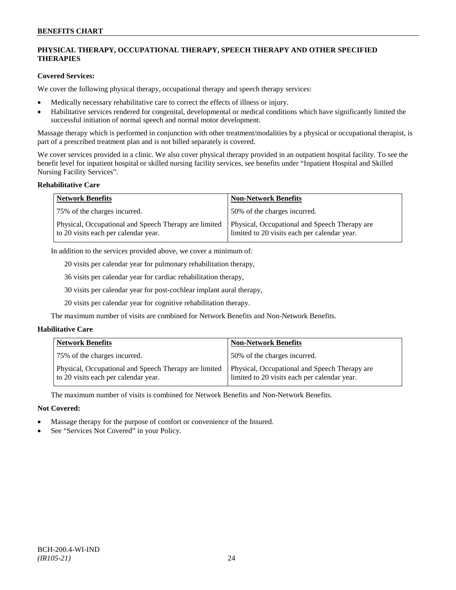## **PHYSICAL THERAPY, OCCUPATIONAL THERAPY, SPEECH THERAPY AND OTHER SPECIFIED THERAPIES**

## **Covered Services:**

We cover the following physical therapy, occupational therapy and speech therapy services:

- Medically necessary rehabilitative care to correct the effects of illness or injury.
- Habilitative services rendered for congenital, developmental or medical conditions which have significantly limited the successful initiation of normal speech and normal motor development.

Massage therapy which is performed in conjunction with other treatment/modalities by a physical or occupational therapist, is part of a prescribed treatment plan and is not billed separately is covered.

We cover services provided in a clinic. We also cover physical therapy provided in an outpatient hospital facility. To see the benefit level for inpatient hospital or skilled nursing facility services, see benefits under "Inpatient Hospital and Skilled Nursing Facility Services".

#### **Rehabilitative Care**

| <b>Network Benefits</b>                                                                       | <b>Non-Network Benefits</b>                                                                   |
|-----------------------------------------------------------------------------------------------|-----------------------------------------------------------------------------------------------|
| 75% of the charges incurred.                                                                  | 50% of the charges incurred.                                                                  |
| Physical, Occupational and Speech Therapy are limited<br>to 20 visits each per calendar year. | Physical, Occupational and Speech Therapy are<br>limited to 20 visits each per calendar year. |

In addition to the services provided above, we cover a minimum of:

20 visits per calendar year for pulmonary rehabilitation therapy,

36 visits per calendar year for cardiac rehabilitation therapy,

30 visits per calendar year for post-cochlear implant aural therapy,

20 visits per calendar year for cognitive rehabilitation therapy.

The maximum number of visits are combined for Network Benefits and Non-Network Benefits.

## **Habilitative Care**

| <b>Network Benefits</b>                                                                       | <b>Non-Network Benefits</b>                                                                   |
|-----------------------------------------------------------------------------------------------|-----------------------------------------------------------------------------------------------|
| 75% of the charges incurred.                                                                  | 150% of the charges incurred.                                                                 |
| Physical, Occupational and Speech Therapy are limited<br>to 20 visits each per calendar year. | Physical, Occupational and Speech Therapy are<br>limited to 20 visits each per calendar year. |

The maximum number of visits is combined for Network Benefits and Non-Network Benefits.

- Massage therapy for the purpose of comfort or convenience of the Insured.
- See "Services Not Covered" in your Policy.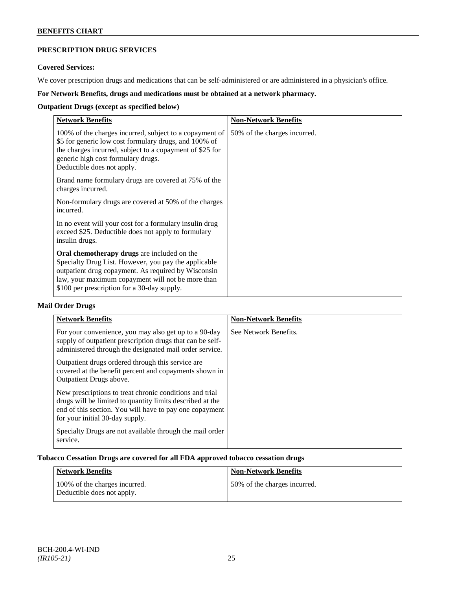## **PRESCRIPTION DRUG SERVICES**

## **Covered Services:**

We cover prescription drugs and medications that can be self-administered or are administered in a physician's office.

## **For Network Benefits, drugs and medications must be obtained at a network pharmacy.**

## **Outpatient Drugs (except as specified below)**

| <b>Network Benefits</b>                                                                                                                                                                                                                                        | <b>Non-Network Benefits</b>  |
|----------------------------------------------------------------------------------------------------------------------------------------------------------------------------------------------------------------------------------------------------------------|------------------------------|
| 100% of the charges incurred, subject to a copayment of<br>\$5 for generic low cost formulary drugs, and 100% of<br>the charges incurred, subject to a copayment of \$25 for<br>generic high cost formulary drugs.<br>Deductible does not apply.               | 50% of the charges incurred. |
| Brand name formulary drugs are covered at 75% of the<br>charges incurred.                                                                                                                                                                                      |                              |
| Non-formulary drugs are covered at 50% of the charges<br>incurred.                                                                                                                                                                                             |                              |
| In no event will your cost for a formulary insulin drug<br>exceed \$25. Deductible does not apply to formulary<br>insulin drugs.                                                                                                                               |                              |
| Oral chemotherapy drugs are included on the<br>Specialty Drug List. However, you pay the applicable<br>outpatient drug copayment. As required by Wisconsin<br>law, your maximum copayment will not be more than<br>\$100 per prescription for a 30-day supply. |                              |

## **Mail Order Drugs**

| <b>Network Benefits</b>                                                                                                                                                                                            | <b>Non-Network Benefits</b> |
|--------------------------------------------------------------------------------------------------------------------------------------------------------------------------------------------------------------------|-----------------------------|
| For your convenience, you may also get up to a 90-day<br>supply of outpatient prescription drugs that can be self-<br>administered through the designated mail order service.                                      | See Network Benefits.       |
| Outpatient drugs ordered through this service are.<br>covered at the benefit percent and copayments shown in<br>Outpatient Drugs above.                                                                            |                             |
| New prescriptions to treat chronic conditions and trial<br>drugs will be limited to quantity limits described at the<br>end of this section. You will have to pay one copayment<br>for your initial 30-day supply. |                             |
| Specialty Drugs are not available through the mail order<br>service.                                                                                                                                               |                             |

## **Tobacco Cessation Drugs are covered for all FDA approved tobacco cessation drugs**

| Network Benefits                                            | <b>Non-Network Benefits</b>  |
|-------------------------------------------------------------|------------------------------|
| 100% of the charges incurred.<br>Deductible does not apply. | 50% of the charges incurred. |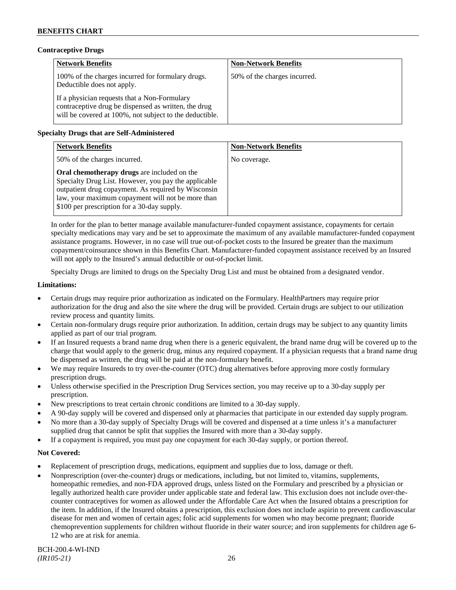## **Contraceptive Drugs**

| <b>Network Benefits</b>                                                                                                                                         | <b>Non-Network Benefits</b>  |
|-----------------------------------------------------------------------------------------------------------------------------------------------------------------|------------------------------|
| 100% of the charges incurred for formulary drugs.<br>Deductible does not apply.                                                                                 | 50% of the charges incurred. |
| If a physician requests that a Non-Formulary<br>contraceptive drug be dispensed as written, the drug<br>will be covered at 100%, not subject to the deductible. |                              |

## **Specialty Drugs that are Self-Administered**

| <b>Network Benefits</b>                                                                                                                                                                                                                                        | <b>Non-Network Benefits</b> |
|----------------------------------------------------------------------------------------------------------------------------------------------------------------------------------------------------------------------------------------------------------------|-----------------------------|
| 50% of the charges incurred.                                                                                                                                                                                                                                   | No coverage.                |
| Oral chemotherapy drugs are included on the<br>Specialty Drug List. However, you pay the applicable<br>outpatient drug copayment. As required by Wisconsin<br>law, your maximum copayment will not be more than<br>\$100 per prescription for a 30-day supply. |                             |

In order for the plan to better manage available manufacturer-funded copayment assistance, copayments for certain specialty medications may vary and be set to approximate the maximum of any available manufacturer-funded copayment assistance programs. However, in no case will true out-of-pocket costs to the Insured be greater than the maximum copayment/coinsurance shown in this Benefits Chart. Manufacturer-funded copayment assistance received by an Insured will not apply to the Insured's annual deductible or out-of-pocket limit.

Specialty Drugs are limited to drugs on the Specialty Drug List and must be obtained from a designated vendor.

#### **Limitations:**

- Certain drugs may require prior authorization as indicated on the Formulary. HealthPartners may require prior authorization for the drug and also the site where the drug will be provided. Certain drugs are subject to our utilization review process and quantity limits.
- Certain non-formulary drugs require prior authorization. In addition, certain drugs may be subject to any quantity limits applied as part of our trial program.
- If an Insured requests a brand name drug when there is a generic equivalent, the brand name drug will be covered up to the charge that would apply to the generic drug, minus any required copayment. If a physician requests that a brand name drug be dispensed as written, the drug will be paid at the non-formulary benefit.
- We may require Insureds to try over-the-counter (OTC) drug alternatives before approving more costly formulary prescription drugs.
- Unless otherwise specified in the Prescription Drug Services section, you may receive up to a 30-day supply per prescription.
- New prescriptions to treat certain chronic conditions are limited to a 30-day supply.
- A 90-day supply will be covered and dispensed only at pharmacies that participate in our extended day supply program.
- No more than a 30-day supply of Specialty Drugs will be covered and dispensed at a time unless it's a manufacturer supplied drug that cannot be split that supplies the Insured with more than a 30-day supply.
- If a copayment is required, you must pay one copayment for each 30-day supply, or portion thereof.

- Replacement of prescription drugs, medications, equipment and supplies due to loss, damage or theft.
- Nonprescription (over-the-counter) drugs or medications, including, but not limited to, vitamins, supplements, homeopathic remedies, and non-FDA approved drugs, unless listed on the Formulary and prescribed by a physician or legally authorized health care provider under applicable state and federal law. This exclusion does not include over-thecounter contraceptives for women as allowed under the Affordable Care Act when the Insured obtains a prescription for the item. In addition, if the Insured obtains a prescription, this exclusion does not include aspirin to prevent cardiovascular disease for men and women of certain ages; folic acid supplements for women who may become pregnant; fluoride chemoprevention supplements for children without fluoride in their water source; and iron supplements for children age 6- 12 who are at risk for anemia.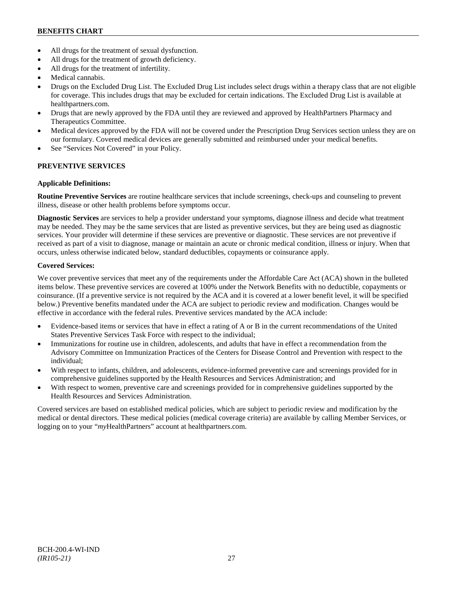## **BENEFITS CHART**

- All drugs for the treatment of sexual dysfunction.
- All drugs for the treatment of growth deficiency.
- All drugs for the treatment of infertility.
- Medical cannabis.
- Drugs on the Excluded Drug List. The Excluded Drug List includes select drugs within a therapy class that are not eligible for coverage. This includes drugs that may be excluded for certain indications. The Excluded Drug List is available at [healthpartners.com.](http://www.healthpartners.com/)
- Drugs that are newly approved by the FDA until they are reviewed and approved by HealthPartners Pharmacy and Therapeutics Committee.
- Medical devices approved by the FDA will not be covered under the Prescription Drug Services section unless they are on our formulary. Covered medical devices are generally submitted and reimbursed under your medical benefits.
- See "Services Not Covered" in your Policy.

## **PREVENTIVE SERVICES**

## **Applicable Definitions:**

**Routine Preventive Services** are routine healthcare services that include screenings, check-ups and counseling to prevent illness, disease or other health problems before symptoms occur.

**Diagnostic Services** are services to help a provider understand your symptoms, diagnose illness and decide what treatment may be needed. They may be the same services that are listed as preventive services, but they are being used as diagnostic services. Your provider will determine if these services are preventive or diagnostic. These services are not preventive if received as part of a visit to diagnose, manage or maintain an acute or chronic medical condition, illness or injury. When that occurs, unless otherwise indicated below, standard deductibles, copayments or coinsurance apply.

## **Covered Services:**

We cover preventive services that meet any of the requirements under the Affordable Care Act (ACA) shown in the bulleted items below. These preventive services are covered at 100% under the Network Benefits with no deductible, copayments or coinsurance. (If a preventive service is not required by the ACA and it is covered at a lower benefit level, it will be specified below.) Preventive benefits mandated under the ACA are subject to periodic review and modification. Changes would be effective in accordance with the federal rules. Preventive services mandated by the ACA include:

- Evidence-based items or services that have in effect a rating of A or B in the current recommendations of the United States Preventive Services Task Force with respect to the individual;
- Immunizations for routine use in children, adolescents, and adults that have in effect a recommendation from the Advisory Committee on Immunization Practices of the Centers for Disease Control and Prevention with respect to the individual;
- With respect to infants, children, and adolescents, evidence-informed preventive care and screenings provided for in comprehensive guidelines supported by the Health Resources and Services Administration; and
- With respect to women, preventive care and screenings provided for in comprehensive guidelines supported by the Health Resources and Services Administration.

Covered services are based on established medical policies, which are subject to periodic review and modification by the medical or dental directors. These medical policies (medical coverage criteria) are available by calling Member Services, or logging on to your "*my*HealthPartners" account at [healthpartners.com.](http://www.healthpartners.com/)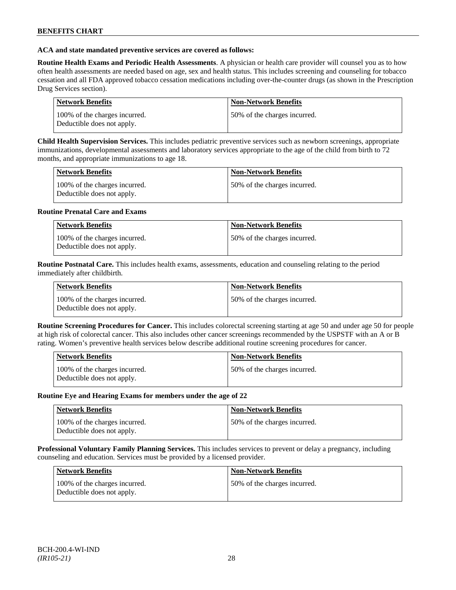#### **ACA and state mandated preventive services are covered as follows:**

**Routine Health Exams and Periodic Health Assessments**. A physician or health care provider will counsel you as to how often health assessments are needed based on age, sex and health status. This includes screening and counseling for tobacco cessation and all FDA approved tobacco cessation medications including over-the-counter drugs (as shown in the Prescription Drug Services section).

| Network Benefits                                            | <b>Non-Network Benefits</b>  |
|-------------------------------------------------------------|------------------------------|
| 100% of the charges incurred.<br>Deductible does not apply. | 50% of the charges incurred. |

**Child Health Supervision Services.** This includes pediatric preventive services such as newborn screenings, appropriate immunizations, developmental assessments and laboratory services appropriate to the age of the child from birth to 72 months, and appropriate immunizations to age 18.

| <b>Network Benefits</b>                                     | <b>Non-Network Benefits</b>  |
|-------------------------------------------------------------|------------------------------|
| 100% of the charges incurred.<br>Deductible does not apply. | 50% of the charges incurred. |

#### **Routine Prenatal Care and Exams**

| <b>Network Benefits</b>                                     | <b>Non-Network Benefits</b>  |
|-------------------------------------------------------------|------------------------------|
| 100% of the charges incurred.<br>Deductible does not apply. | 50% of the charges incurred. |

**Routine Postnatal Care.** This includes health exams, assessments, education and counseling relating to the period immediately after childbirth.

| <b>Network Benefits</b>                                     | <b>Non-Network Benefits</b>  |
|-------------------------------------------------------------|------------------------------|
| 100% of the charges incurred.<br>Deductible does not apply. | 50% of the charges incurred. |

**Routine Screening Procedures for Cancer.** This includes colorectal screening starting at age 50 and under age 50 for people at high risk of colorectal cancer. This also includes other cancer screenings recommended by the USPSTF with an A or B rating. Women's preventive health services below describe additional routine screening procedures for cancer.

| Network Benefits                                            | <b>Non-Network Benefits</b>  |
|-------------------------------------------------------------|------------------------------|
| 100% of the charges incurred.<br>Deductible does not apply. | 50% of the charges incurred. |

#### **Routine Eye and Hearing Exams for members under the age of 22**

| <b>Network Benefits</b>                                     | <b>Non-Network Benefits</b>   |
|-------------------------------------------------------------|-------------------------------|
| 100% of the charges incurred.<br>Deductible does not apply. | 150% of the charges incurred. |

**Professional Voluntary Family Planning Services.** This includes services to prevent or delay a pregnancy, including counseling and education. Services must be provided by a licensed provider.

| <b>Network Benefits</b>                                     | <b>Non-Network Benefits</b>   |
|-------------------------------------------------------------|-------------------------------|
| 100% of the charges incurred.<br>Deductible does not apply. | 150% of the charges incurred. |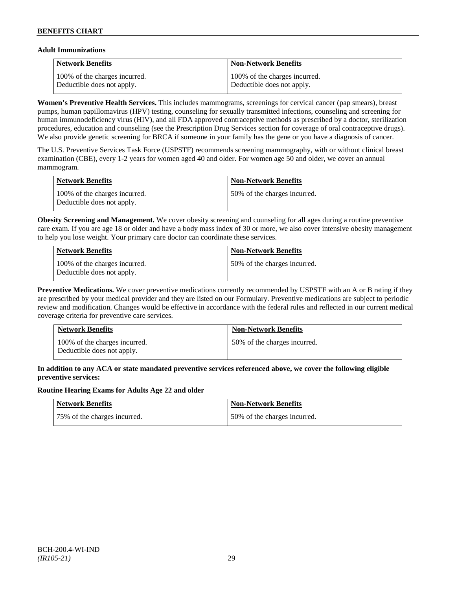## **Adult Immunizations**

| <b>Network Benefits</b>       | <b>Non-Network Benefits</b>    |
|-------------------------------|--------------------------------|
| 100% of the charges incurred. | 100\% of the charges incurred. |
| Deductible does not apply.    | Deductible does not apply.     |

**Women's Preventive Health Services.** This includes mammograms, screenings for cervical cancer (pap smears), breast pumps, human papillomavirus (HPV) testing, counseling for sexually transmitted infections, counseling and screening for human immunodeficiency virus (HIV), and all FDA approved contraceptive methods as prescribed by a doctor, sterilization procedures, education and counseling (see the Prescription Drug Services section for coverage of oral contraceptive drugs). We also provide genetic screening for BRCA if someone in your family has the gene or you have a diagnosis of cancer.

The U.S. Preventive Services Task Force (USPSTF) recommends screening mammography, with or without clinical breast examination (CBE), every 1-2 years for women aged 40 and older. For women age 50 and older, we cover an annual mammogram.

| Network Benefits                                            | Non-Network Benefits         |
|-------------------------------------------------------------|------------------------------|
| 100% of the charges incurred.<br>Deductible does not apply. | 50% of the charges incurred. |

**Obesity Screening and Management.** We cover obesity screening and counseling for all ages during a routine preventive care exam. If you are age 18 or older and have a body mass index of 30 or more, we also cover intensive obesity management to help you lose weight. Your primary care doctor can coordinate these services.

| Network Benefits                                            | <b>Non-Network Benefits</b>  |
|-------------------------------------------------------------|------------------------------|
| 100% of the charges incurred.<br>Deductible does not apply. | 50% of the charges incurred. |

**Preventive Medications.** We cover preventive medications currently recommended by USPSTF with an A or B rating if they are prescribed by your medical provider and they are listed on our Formulary. Preventive medications are subject to periodic review and modification. Changes would be effective in accordance with the federal rules and reflected in our current medical coverage criteria for preventive care services.

| <b>Network Benefits</b>                                     | <b>Non-Network Benefits</b>  |
|-------------------------------------------------------------|------------------------------|
| 100% of the charges incurred.<br>Deductible does not apply. | 50% of the charges incurred. |

## **In addition to any ACA or state mandated preventive services referenced above, we cover the following eligible preventive services:**

## **Routine Hearing Exams for Adults Age 22 and older**

| Network Benefits             | Non-Network Benefits         |
|------------------------------|------------------------------|
| 75% of the charges incurred. | 50% of the charges incurred. |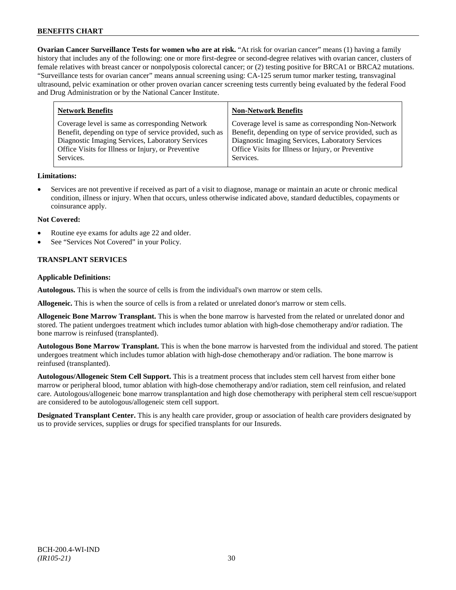**Ovarian Cancer Surveillance Tests for women who are at risk.** "At risk for ovarian cancer" means (1) having a family history that includes any of the following: one or more first-degree or second-degree relatives with ovarian cancer, clusters of female relatives with breast cancer or nonpolyposis colorectal cancer; or (2) testing positive for BRCA1 or BRCA2 mutations. "Surveillance tests for ovarian cancer" means annual screening using: CA-125 serum tumor marker testing, transvaginal ultrasound, pelvic examination or other proven ovarian cancer screening tests currently being evaluated by the federal Food and Drug Administration or by the National Cancer Institute.

| <b>Non-Network Benefits</b>                             |
|---------------------------------------------------------|
| Coverage level is same as corresponding Non-Network     |
| Benefit, depending on type of service provided, such as |
| Diagnostic Imaging Services, Laboratory Services        |
| Office Visits for Illness or Injury, or Preventive      |
| Services.                                               |
|                                                         |

## **Limitations:**

• Services are not preventive if received as part of a visit to diagnose, manage or maintain an acute or chronic medical condition, illness or injury. When that occurs, unless otherwise indicated above, standard deductibles, copayments or coinsurance apply.

#### **Not Covered:**

- Routine eye exams for adults age 22 and older.
- See "Services Not Covered" in your Policy.

## **TRANSPLANT SERVICES**

#### **Applicable Definitions:**

**Autologous.** This is when the source of cells is from the individual's own marrow or stem cells.

**Allogeneic.** This is when the source of cells is from a related or unrelated donor's marrow or stem cells.

**Allogeneic Bone Marrow Transplant.** This is when the bone marrow is harvested from the related or unrelated donor and stored. The patient undergoes treatment which includes tumor ablation with high-dose chemotherapy and/or radiation. The bone marrow is reinfused (transplanted).

**Autologous Bone Marrow Transplant.** This is when the bone marrow is harvested from the individual and stored. The patient undergoes treatment which includes tumor ablation with high-dose chemotherapy and/or radiation. The bone marrow is reinfused (transplanted).

**Autologous/Allogeneic Stem Cell Support.** This is a treatment process that includes stem cell harvest from either bone marrow or peripheral blood, tumor ablation with high-dose chemotherapy and/or radiation, stem cell reinfusion, and related care. Autologous/allogeneic bone marrow transplantation and high dose chemotherapy with peripheral stem cell rescue/support are considered to be autologous/allogeneic stem cell support.

**Designated Transplant Center.** This is any health care provider, group or association of health care providers designated by us to provide services, supplies or drugs for specified transplants for our Insureds.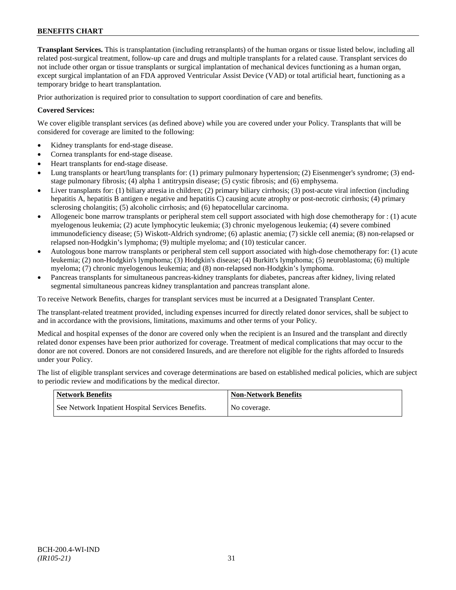**Transplant Services.** This is transplantation (including retransplants) of the human organs or tissue listed below, including all related post-surgical treatment, follow-up care and drugs and multiple transplants for a related cause. Transplant services do not include other organ or tissue transplants or surgical implantation of mechanical devices functioning as a human organ, except surgical implantation of an FDA approved Ventricular Assist Device (VAD) or total artificial heart, functioning as a temporary bridge to heart transplantation.

Prior authorization is required prior to consultation to support coordination of care and benefits.

## **Covered Services:**

We cover eligible transplant services (as defined above) while you are covered under your Policy. Transplants that will be considered for coverage are limited to the following:

- Kidney transplants for end-stage disease.
- Cornea transplants for end-stage disease.
- Heart transplants for end-stage disease.
- Lung transplants or heart/lung transplants for: (1) primary pulmonary hypertension; (2) Eisenmenger's syndrome; (3) endstage pulmonary fibrosis; (4) alpha 1 antitrypsin disease; (5) cystic fibrosis; and (6) emphysema.
- Liver transplants for: (1) biliary atresia in children; (2) primary biliary cirrhosis; (3) post-acute viral infection (including hepatitis A, hepatitis B antigen e negative and hepatitis C) causing acute atrophy or post-necrotic cirrhosis; (4) primary sclerosing cholangitis; (5) alcoholic cirrhosis; and (6) hepatocellular carcinoma.
- Allogeneic bone marrow transplants or peripheral stem cell support associated with high dose chemotherapy for : (1) acute myelogenous leukemia; (2) acute lymphocytic leukemia; (3) chronic myelogenous leukemia; (4) severe combined immunodeficiency disease; (5) Wiskott-Aldrich syndrome; (6) aplastic anemia; (7) sickle cell anemia; (8) non-relapsed or relapsed non-Hodgkin's lymphoma; (9) multiple myeloma; and (10) testicular cancer.
- Autologous bone marrow transplants or peripheral stem cell support associated with high-dose chemotherapy for: (1) acute leukemia; (2) non-Hodgkin's lymphoma; (3) Hodgkin's disease; (4) Burkitt's lymphoma; (5) neuroblastoma; (6) multiple myeloma; (7) chronic myelogenous leukemia; and (8) non-relapsed non-Hodgkin's lymphoma.
- Pancreas transplants for simultaneous pancreas-kidney transplants for diabetes, pancreas after kidney, living related segmental simultaneous pancreas kidney transplantation and pancreas transplant alone.

To receive Network Benefits, charges for transplant services must be incurred at a Designated Transplant Center.

The transplant-related treatment provided, including expenses incurred for directly related donor services, shall be subject to and in accordance with the provisions, limitations, maximums and other terms of your Policy.

Medical and hospital expenses of the donor are covered only when the recipient is an Insured and the transplant and directly related donor expenses have been prior authorized for coverage. Treatment of medical complications that may occur to the donor are not covered. Donors are not considered Insureds, and are therefore not eligible for the rights afforded to Insureds under your Policy.

The list of eligible transplant services and coverage determinations are based on established medical policies, which are subject to periodic review and modifications by the medical director.

| <b>Network Benefits</b>                           | <b>Non-Network Benefits</b> |
|---------------------------------------------------|-----------------------------|
| See Network Inpatient Hospital Services Benefits. | No coverage.                |